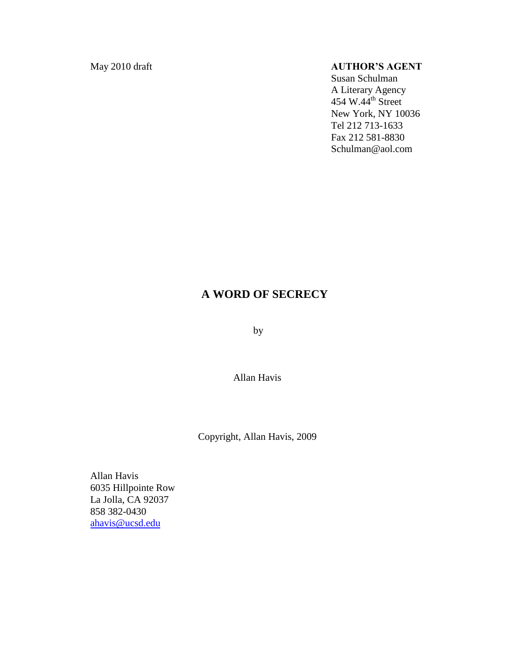# May 2010 draft **AUTHOR'S AGENT**

Susan Schulman A Literary Agency 454 W.44 $th$  Street New York, NY 10036 Tel 212 713-1633 Fax 212 581-8830 Schulman@aol.com

# **A WORD OF SECRECY**

by

Allan Havis

Copyright, Allan Havis, 2009

Allan Havis 6035 Hillpointe Row La Jolla, CA 92037 858 382-0430 [ahavis@ucsd.edu](mailto:ahavis@ucsd.edu)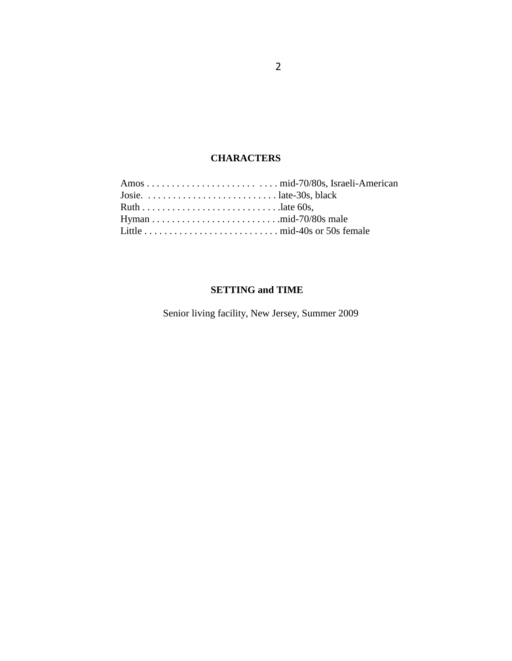# **CHARACTERS**

| Josie. $\dots \dots \dots \dots \dots \dots \dots \dots \dots$ late-30s, black |  |
|--------------------------------------------------------------------------------|--|
|                                                                                |  |
|                                                                                |  |
|                                                                                |  |
|                                                                                |  |

# **SETTING and TIME**

Senior living facility, New Jersey, Summer 2009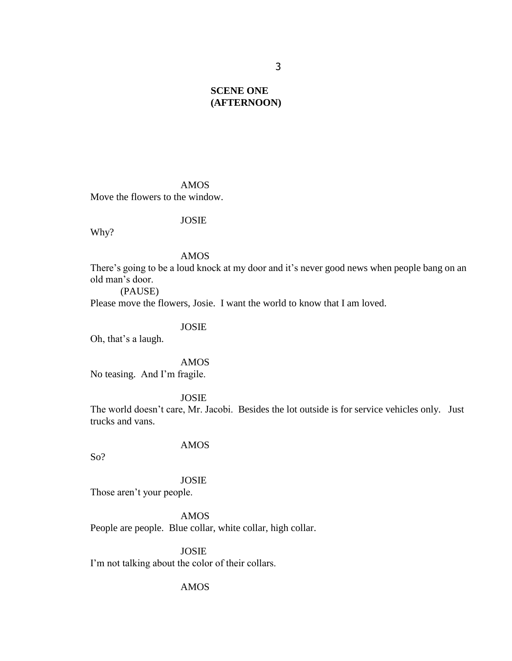# **SCENE ONE (AFTERNOON)**

AMOS Move the flowers to the window.

### JOSIE

Why?

### AMOS

There's going to be a loud knock at my door and it's never good news when people bang on an old man"s door.

(PAUSE)

Please move the flowers, Josie. I want the world to know that I am loved.

### JOSIE

Oh, that's a laugh.

### AMOS

No teasing. And I"m fragile.

### JOSIE

The world doesn"t care, Mr. Jacobi. Besides the lot outside is for service vehicles only. Just trucks and vans.

# AMOS

So?

### JOSIE

Those aren't your people.

AMOS People are people. Blue collar, white collar, high collar.

JOSIE I'm not talking about the color of their collars.

### AMOS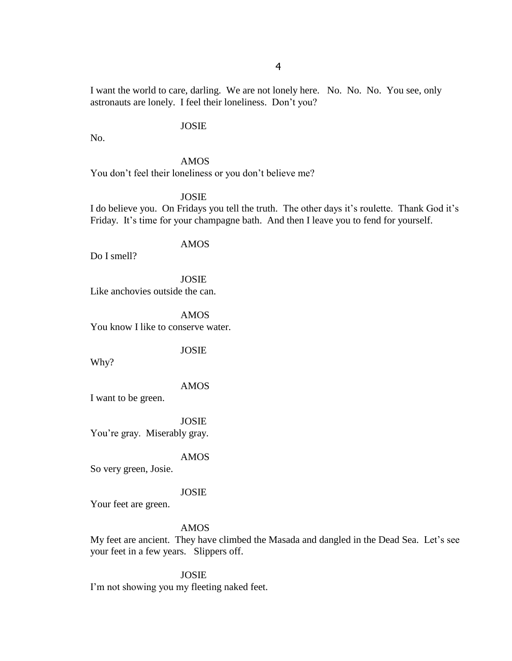I want the world to care, darling. We are not lonely here. No. No. No. You see, only astronauts are lonely. I feel their loneliness. Don"t you?

### JOSIE

No.

# AMOS

You don't feel their loneliness or you don't believe me?

### JOSIE

I do believe you. On Fridays you tell the truth. The other days it's roulette. Thank God it's Friday. It's time for your champagne bath. And then I leave you to fend for yourself.

### AMOS

Do I smell?

JOSIE Like anchovies outside the can.

AMOS You know I like to conserve water.

JOSIE

Why?

AMOS

I want to be green.

JOSIE You're gray. Miserably gray.

### AMOS

So very green, Josie.

#### JOSIE

Your feet are green.

#### AMOS

My feet are ancient. They have climbed the Masada and dangled in the Dead Sea. Let's see your feet in a few years. Slippers off.

JOSIE

I'm not showing you my fleeting naked feet.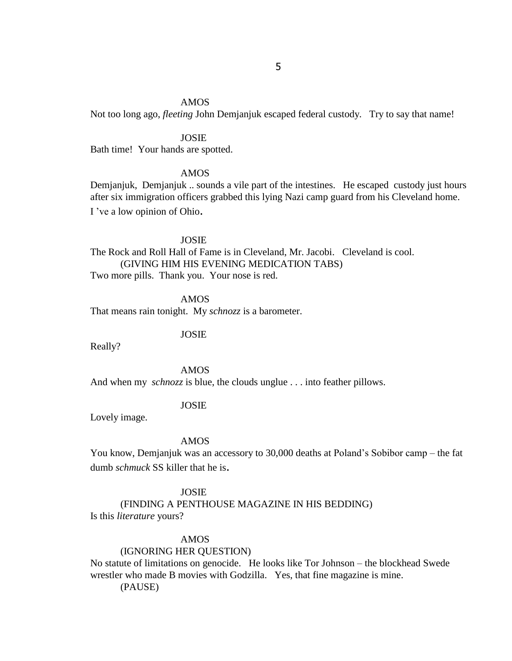### AMOS

Not too long ago, *fleeting* John Demjanjuk escaped federal custody. Try to say that name!

### JOSIE

Bath time! Your hands are spotted.

### AMOS

Demjanjuk, Demjanjuk .. sounds a vile part of the intestines. He escaped custody just hours after six immigration officers grabbed this lying Nazi camp guard from his Cleveland home. I've a low opinion of Ohio.

### JOSIE

The Rock and Roll Hall of Fame is in Cleveland, Mr. Jacobi. Cleveland is cool. (GIVING HIM HIS EVENING MEDICATION TABS) Two more pills. Thank you. Your nose is red.

AMOS

That means rain tonight. My *schnozz* is a barometer.

JOSIE

Really?

#### AMOS

And when my *schnozz* is blue, the clouds unglue . . . into feather pillows.

### JOSIE

Lovely image.

### AMOS

You know, Demjanjuk was an accessory to 30,000 deaths at Poland"s Sobibor camp – the fat dumb *schmuck* SS killer that he is.

### JOSIE

(FINDING A PENTHOUSE MAGAZINE IN HIS BEDDING) Is this *literature* yours?

### AMOS

### (IGNORING HER QUESTION)

No statute of limitations on genocide. He looks like Tor Johnson – the blockhead Swede wrestler who made B movies with Godzilla. Yes, that fine magazine is mine.

(PAUSE)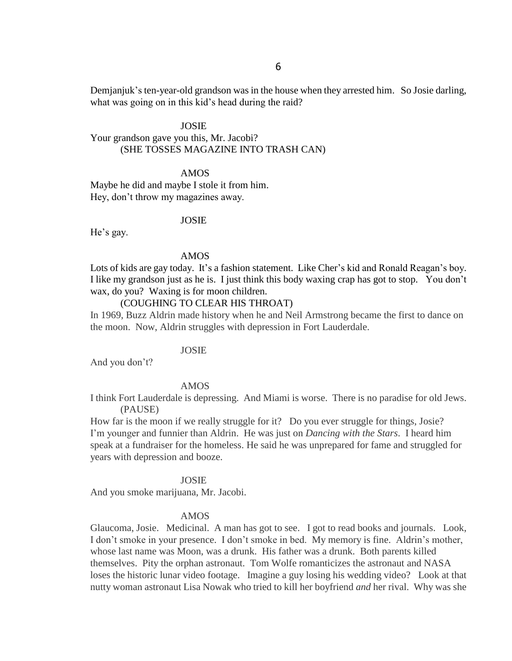Demjanjuk's ten-year-old grandson was in the house when they arrested him. So Josie darling, what was going on in this kid's head during the raid?

JOSIE Your grandson gave you this, Mr. Jacobi? (SHE TOSSES MAGAZINE INTO TRASH CAN)

AMOS Maybe he did and maybe I stole it from him. Hey, don"t throw my magazines away.

#### JOSIE

He's gay.

#### AMOS

Lots of kids are gay today. It's a fashion statement. Like Cher's kid and Ronald Reagan's boy. I like my grandson just as he is. I just think this body waxing crap has got to stop. You don"t wax, do you? Waxing is for moon children.

# (COUGHING TO CLEAR HIS THROAT)

In 1969, Buzz Aldrin made history when he and Neil Armstrong became the first to dance on the moon. Now, Aldrin struggles with depression in Fort Lauderdale.

### JOSIE

And you don't?

#### AMOS

I think Fort Lauderdale is depressing. And Miami is worse. There is no paradise for old Jews. (PAUSE)

How far is the moon if we really struggle for it? Do you ever struggle for things, Josie? I"m younger and funnier than Aldrin. He was just on *Dancing with the Stars*. I heard him speak at a fundraiser for the homeless. He said he was unprepared for fame and struggled for years with depression and booze.

#### JOSIE

And you smoke marijuana, Mr. Jacobi.

#### AMOS

Glaucoma, Josie. Medicinal. A man has got to see. I got to read books and journals. Look, I don't smoke in your presence. I don't smoke in bed. My memory is fine. Aldrin's mother, whose last name was Moon, was a drunk. His father was a drunk. Both parents killed themselves. Pity the orphan astronaut. Tom Wolfe romanticizes the astronaut and NASA loses the historic lunar video footage. Imagine a guy losing his wedding video? Look at that nutty woman astronaut Lisa Nowak who tried to kill her boyfriend *and* her rival. Why was she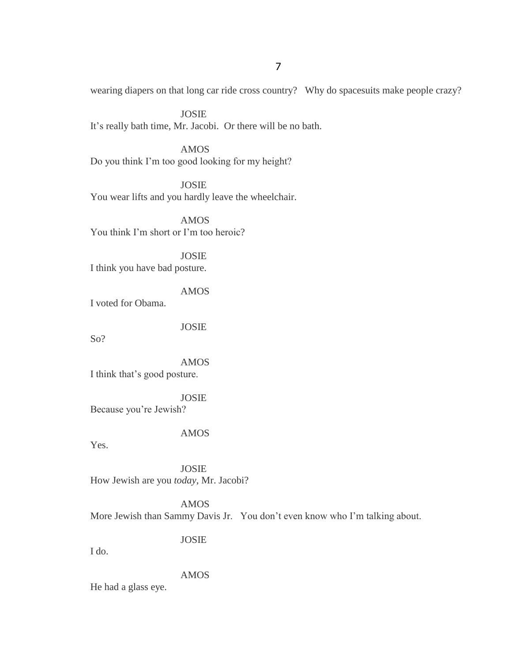wearing diapers on that long car ride cross country? Why do spacesuits make people crazy?

JOSIE It's really bath time, Mr. Jacobi. Or there will be no bath.

AMOS Do you think I"m too good looking for my height?

JOSIE You wear lifts and you hardly leave the wheelchair.

AMOS You think I"m short or I"m too heroic?

JOSIE I think you have bad posture.

AMOS I voted for Obama.

JOSIE

So?

AMOS I think that"s good posture.

JOSIE Because you"re Jewish?

AMOS

Yes.

JOSIE How Jewish are you *today*, Mr. Jacobi?

AMOS More Jewish than Sammy Davis Jr. You don"t even know who I"m talking about.

JOSIE

I do.

AMOS

He had a glass eye.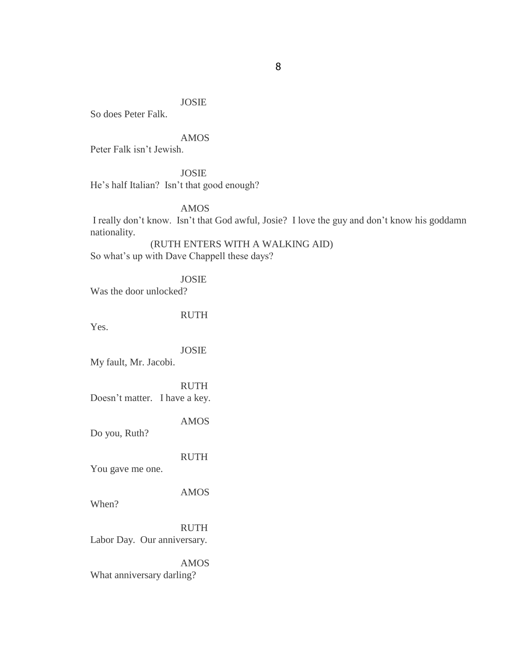# JOSIE

So does Peter Falk.

# AMOS

Peter Falk isn"t Jewish.

JOSIE

He's half Italian? Isn't that good enough?

AMOS

I really don"t know. Isn"t that God awful, Josie? I love the guy and don"t know his goddamn nationality.

(RUTH ENTERS WITH A WALKING AID) So what"s up with Dave Chappell these days?

JOSIE

Was the door unlocked?

RUTH

Yes.

JOSIE

My fault, Mr. Jacobi.

RUTH Doesn"t matter. I have a key.

AMOS

Do you, Ruth?

RUTH

You gave me one.

AMOS

When?

RUTH Labor Day. Our anniversary.

AMOS What anniversary darling?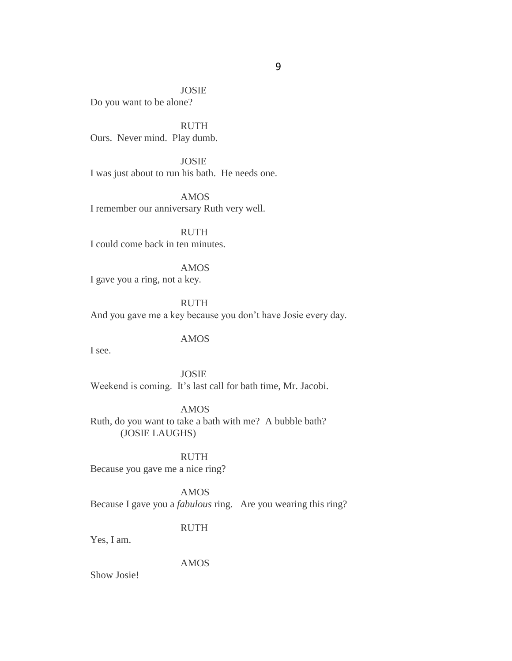JOSIE Do you want to be alone?

**RUTH** Ours. Never mind. Play dumb.

JOSIE I was just about to run his bath. He needs one.

AMOS I remember our anniversary Ruth very well.

RUTH I could come back in ten minutes.

AMOS I gave you a ring, not a key.

RUTH And you gave me a key because you don"t have Josie every day.

AMOS

I see.

JOSIE Weekend is coming. It's last call for bath time, Mr. Jacobi.

AMOS Ruth, do you want to take a bath with me? A bubble bath? (JOSIE LAUGHS)

RUTH Because you gave me a nice ring?

AMOS Because I gave you a *fabulous* ring. Are you wearing this ring?

RUTH

Yes, I am.

AMOS

Show Josie!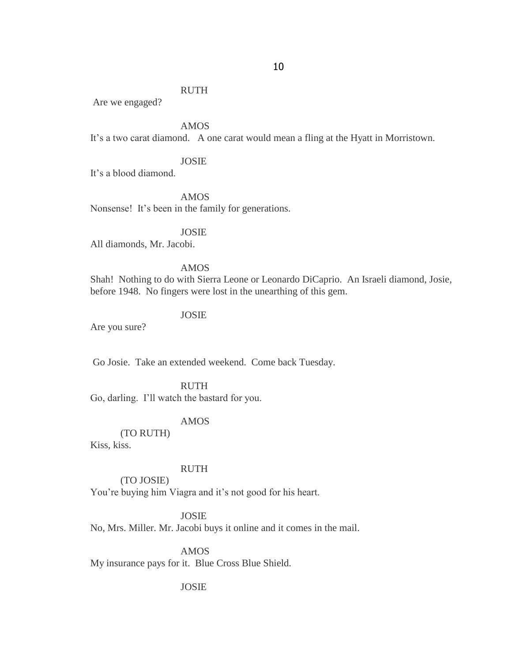Are we engaged?

AMOS

It's a two carat diamond. A one carat would mean a fling at the Hyatt in Morristown.

# JOSIE

It"s a blood diamond.

AMOS Nonsense! It's been in the family for generations.

JOSIE All diamonds, Mr. Jacobi.

### AMOS

Shah! Nothing to do with Sierra Leone or Leonardo DiCaprio. An Israeli diamond, Josie, before 1948. No fingers were lost in the unearthing of this gem.

#### JOSIE

Are you sure?

Go Josie. Take an extended weekend. Come back Tuesday.

#### RUTH

Go, darling. I"ll watch the bastard for you.

### AMOS

(TO RUTH)

(TO JOSIE)

Kiss, kiss.

# RUTH

You're buying him Viagra and it's not good for his heart.

### JOSIE

No, Mrs. Miller. Mr. Jacobi buys it online and it comes in the mail.

AMOS

My insurance pays for it. Blue Cross Blue Shield.

### JOSIE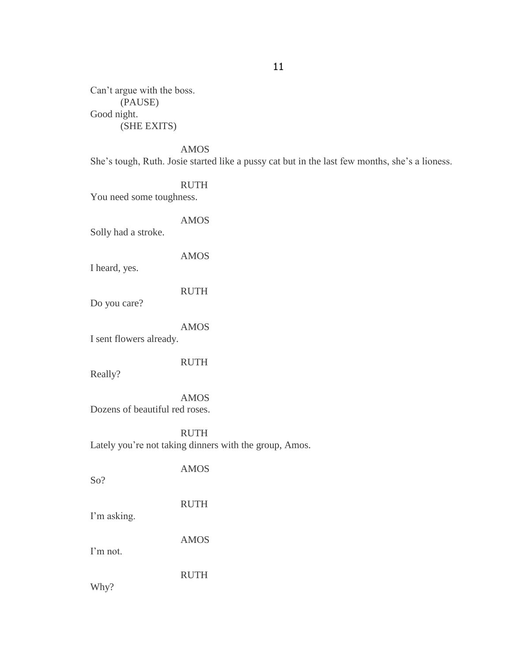Can"t argue with the boss. (PAUSE) Good night. (SHE EXITS)

AMOS

She"s tough, Ruth. Josie started like a pussy cat but in the last few months, she"s a lioness.

RUTH You need some toughness.

AMOS Solly had a stroke. AMOS I heard, yes. RUTH Do you care? AMOS I sent flowers already. RUTH Really? AMOS Dozens of beautiful red roses. RUTH Lately you're not taking dinners with the group, Amos. AMOS So? RUTH I'm asking. AMOS I'm not. RUTH Why?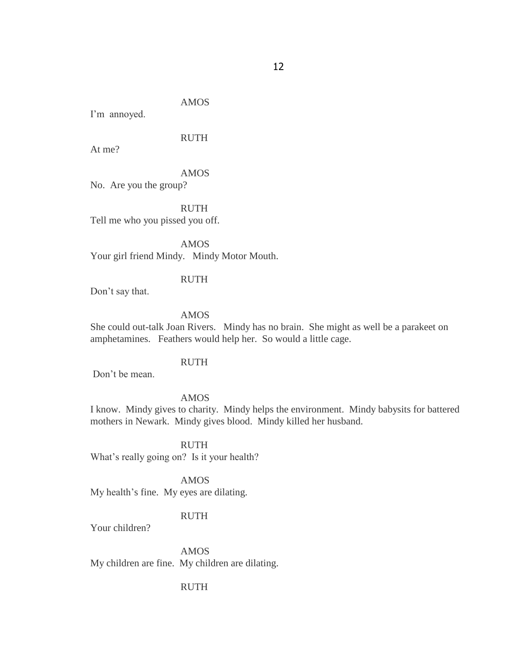AMOS

I'm annoyed.

RUTH

At me?

AMOS

No. Are you the group?

RUTH Tell me who you pissed you off.

AMOS Your girl friend Mindy. Mindy Motor Mouth.

### RUTH

Don"t say that.

#### AMOS

She could out-talk Joan Rivers. Mindy has no brain. She might as well be a parakeet on amphetamines. Feathers would help her. So would a little cage.

### RUTH

Don"t be mean.

#### AMOS

I know. Mindy gives to charity. Mindy helps the environment. Mindy babysits for battered mothers in Newark. Mindy gives blood. Mindy killed her husband.

RUTH What's really going on? Is it your health?

AMOS My health"s fine. My eyes are dilating.

### RUTH

Your children?

AMOS My children are fine. My children are dilating.

### RUTH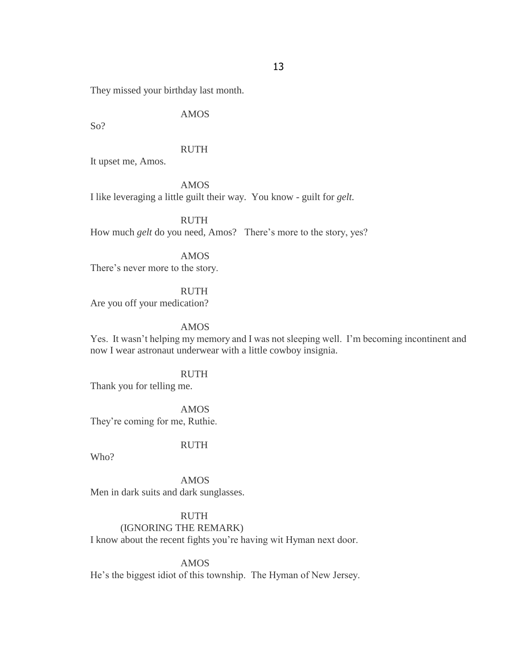They missed your birthday last month.

AMOS

So?

RUTH

It upset me, Amos.

AMOS I like leveraging a little guilt their way. You know - guilt for *gelt.*

RUTH How much *gelt* do you need, Amos? There's more to the story, yes?

AMOS There's never more to the story.

RUTH Are you off your medication?

AMOS

Yes. It wasn"t helping my memory and I was not sleeping well. I"m becoming incontinent and now I wear astronaut underwear with a little cowboy insignia.

RUTH Thank you for telling me.

AMOS They"re coming for me, Ruthie.

RUTH

Who?

AMOS Men in dark suits and dark sunglasses.

RUTH (IGNORING THE REMARK) I know about the recent fights you"re having wit Hyman next door.

AMOS He"s the biggest idiot of this township. The Hyman of New Jersey.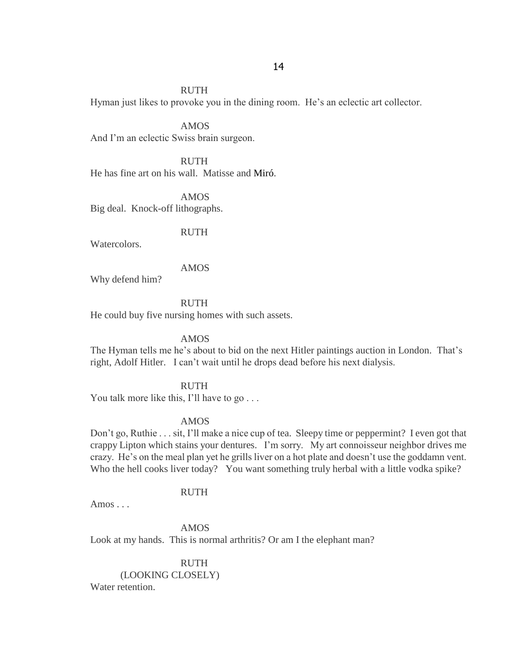Hyman just likes to provoke you in the dining room. He"s an eclectic art collector.

AMOS And I'm an eclectic Swiss brain surgeon.

RUTH He has fine art on his wall. Matisse and Miró.

AMOS Big deal. Knock-off lithographs.

RUTH

Watercolors.

#### AMOS

Why defend him?

# RUTH

He could buy five nursing homes with such assets.

#### AMOS

The Hyman tells me he's about to bid on the next Hitler paintings auction in London. That's right, Adolf Hitler. I can"t wait until he drops dead before his next dialysis.

### RUTH

You talk more like this, I'll have to go . . .

#### AMOS

Don"t go, Ruthie . . . sit, I"ll make a nice cup of tea. Sleepy time or peppermint? I even got that crappy Lipton which stains your dentures. I"m sorry. My art connoisseur neighbor drives me crazy. He's on the meal plan yet he grills liver on a hot plate and doesn't use the goddamn vent. Who the hell cooks liver today? You want something truly herbal with a little vodka spike?

#### RUTH

Amos . . .

AMOS Look at my hands. This is normal arthritis? Or am I the elephant man?

RUTH (LOOKING CLOSELY) Water retention.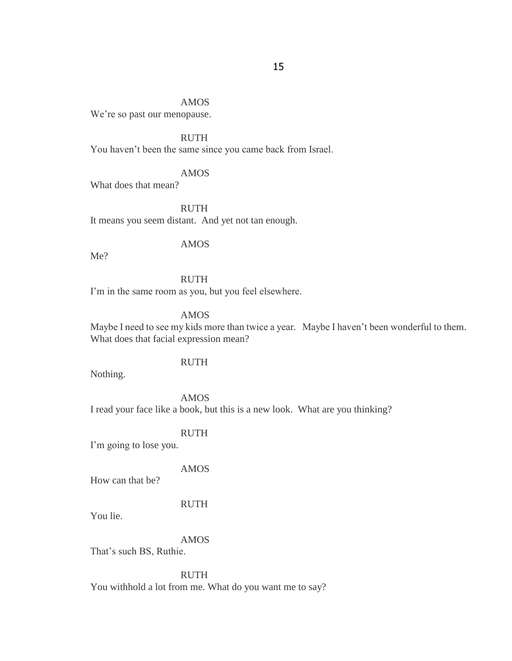# AMOS

We're so past our menopause.

# RUTH

You haven't been the same since you came back from Israel.

### AMOS

What does that mean?

RUTH It means you seem distant. And yet not tan enough.

## AMOS

Me?

# RUTH

I'm in the same room as you, but you feel elsewhere.

# AMOS

Maybe I need to see my kids more than twice a year. Maybe I haven"t been wonderful to them. What does that facial expression mean?

#### RUTH

Nothing.

#### AMOS

I read your face like a book, but this is a new look. What are you thinking?

# RUTH

I'm going to lose you.

### AMOS

How can that be?

### RUTH

You lie.

# AMOS

That's such BS, Ruthie.

### RUTH

You withhold a lot from me. What do you want me to say?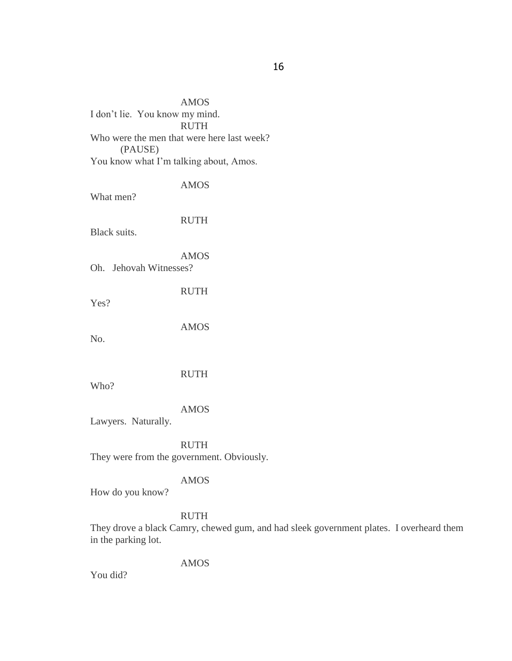AMOS I don"t lie. You know my mind. RUTH Who were the men that were here last week? (PAUSE) You know what I'm talking about, Amos.

What men?

RUTH

AMOS

Black suits.

AMOS

Oh. Jehovah Witnesses?

Yes?

RUTH

AMOS

No.

RUTH

Who?

AMOS

Lawyers. Naturally.

RUTH

They were from the government. Obviously.

### AMOS

How do you know?

# RUTH

They drove a black Camry, chewed gum, and had sleek government plates. I overheard them in the parking lot.

AMOS

You did?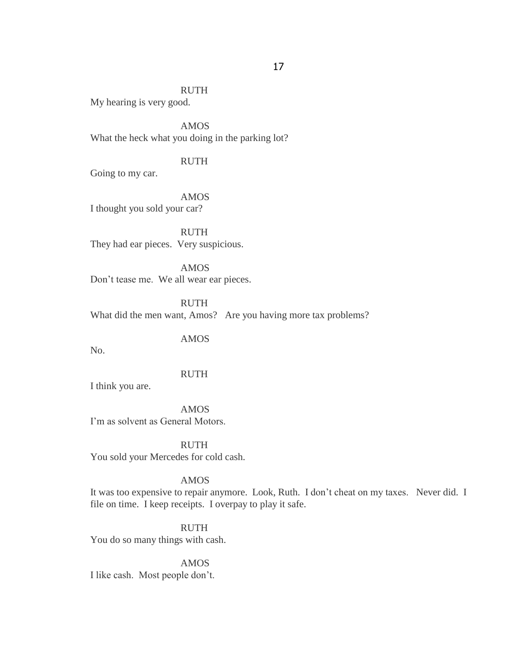My hearing is very good.

AMOS What the heck what you doing in the parking lot?

# RUTH

Going to my car.

AMOS I thought you sold your car?

RUTH They had ear pieces. Very suspicious.

AMOS Don"t tease me. We all wear ear pieces.

RUTH What did the men want, Amos? Are you having more tax problems?

AMOS

No.

# RUTH

I think you are.

AMOS

I"m as solvent as General Motors.

RUTH You sold your Mercedes for cold cash.

#### AMOS

It was too expensive to repair anymore. Look, Ruth. I don"t cheat on my taxes. Never did. I file on time. I keep receipts. I overpay to play it safe.

RUTH You do so many things with cash.

AMOS I like cash. Most people don"t.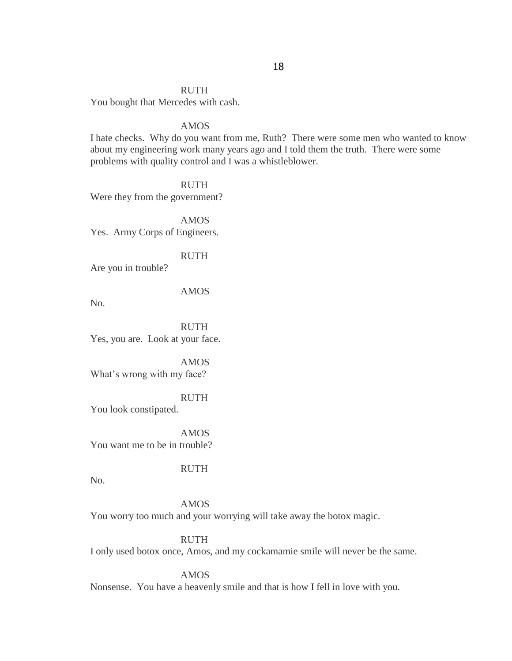You bought that Mercedes with cash.

#### AMOS

I hate checks. Why do you want from me, Ruth? There were some men who wanted to know about my engineering work many years ago and I told them the truth. There were some problems with quality control and I was a whistleblower.

**RUTH** Were they from the government?

AMOS Yes. Army Corps of Engineers.

RUTH

Are you in trouble?

AMOS

No.

RUTH Yes, you are. Look at your face.

AMOS What's wrong with my face?

RUTH You look constipated.

AMOS You want me to be in trouble?

RUTH

No.

AMOS

You worry too much and your worrying will take away the botox magic.

RUTH I only used botox once, Amos, and my cockamamie smile will never be the same.

AMOS

Nonsense. You have a heavenly smile and that is how I fell in love with you.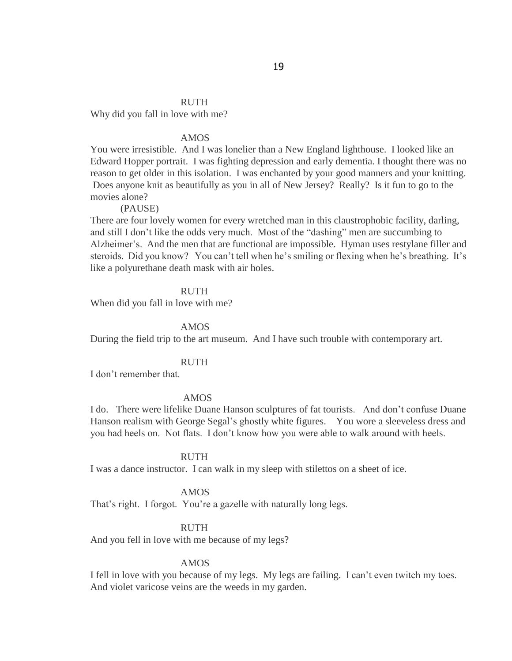Why did you fall in love with me?

### AMOS

You were irresistible. And I was lonelier than a New England lighthouse. I looked like an Edward Hopper portrait. I was fighting depression and early dementia. I thought there was no reason to get older in this isolation. I was enchanted by your good manners and your knitting. Does anyone knit as beautifully as you in all of New Jersey? Really? Is it fun to go to the movies alone?

#### (PAUSE)

There are four lovely women for every wretched man in this claustrophobic facility, darling, and still I don"t like the odds very much. Most of the "dashing" men are succumbing to Alzheimer"s. And the men that are functional are impossible. Hyman uses restylane filler and steroids. Did you know? You can't tell when he's smiling or flexing when he's breathing. It's like a polyurethane death mask with air holes.

#### RUTH

When did you fall in love with me?

#### AMOS

During the field trip to the art museum. And I have such trouble with contemporary art.

#### RUTH

I don"t remember that.

#### AMOS

I do. There were lifelike Duane Hanson sculptures of fat tourists. And don"t confuse Duane Hanson realism with George Segal"s ghostly white figures. You wore a sleeveless dress and you had heels on. Not flats. I don"t know how you were able to walk around with heels.

#### RUTH

I was a dance instructor. I can walk in my sleep with stilettos on a sheet of ice.

### AMOS

That's right. I forgot. You're a gazelle with naturally long legs.

### RUTH

And you fell in love with me because of my legs?

#### AMOS

I fell in love with you because of my legs. My legs are failing. I can"t even twitch my toes. And violet varicose veins are the weeds in my garden.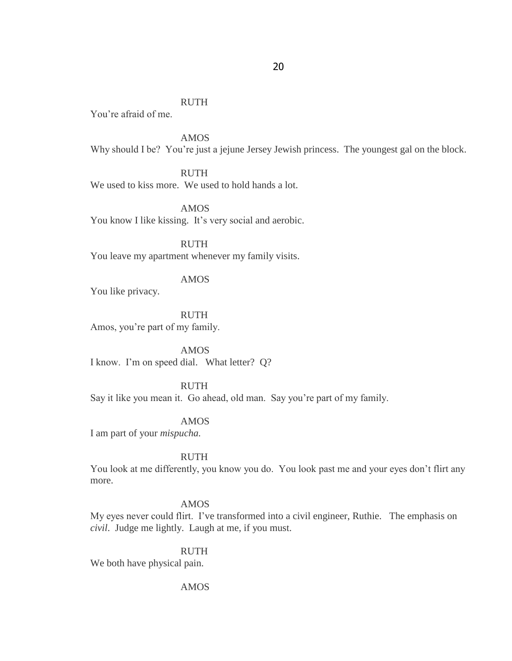You"re afraid of me.

AMOS Why should I be? You're just a jejune Jersey Jewish princess. The youngest gal on the block.

RUTH We used to kiss more. We used to hold hands a lot.

AMOS You know I like kissing. It's very social and aerobic.

RUTH You leave my apartment whenever my family visits.

### AMOS

You like privacy.

RUTH Amos, you"re part of my family.

AMOS I know. I"m on speed dial. What letter? Q?

### RUTH

Say it like you mean it. Go ahead, old man. Say you"re part of my family.

### AMOS

I am part of your *mispucha.*

### RUTH

You look at me differently, you know you do. You look past me and your eyes don"t flirt any more.

# AMOS

My eyes never could flirt. I've transformed into a civil engineer, Ruthie. The emphasis on *civil*. Judge me lightly. Laugh at me, if you must.

#### RUTH

We both have physical pain.

### AMOS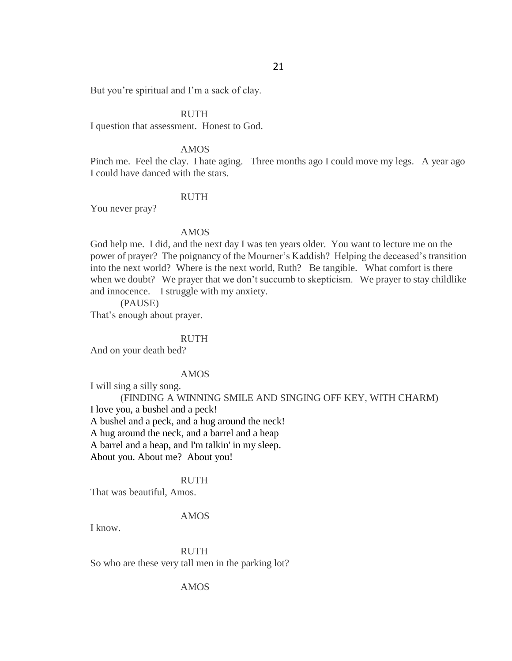But you're spiritual and I'm a sack of clay.

### RUTH

I question that assessment. Honest to God.

#### AMOS

Pinch me. Feel the clay. I hate aging. Three months ago I could move my legs. A year ago I could have danced with the stars.

#### RUTH

You never pray?

### AMOS

God help me. I did, and the next day I was ten years older. You want to lecture me on the power of prayer? The poignancy of the Mourner's Kaddish? Helping the deceased's transition into the next world? Where is the next world, Ruth? Be tangible. What comfort is there when we doubt? We prayer that we don't succumb to skepticism. We prayer to stay childlike and innocence. I struggle with my anxiety.

(PAUSE)

That's enough about prayer.

#### RUTH

And on your death bed?

### AMOS

I will sing a silly song.

(FINDING A WINNING SMILE AND SINGING OFF KEY, WITH CHARM) I love you, a bushel and a peck! A bushel and a peck, and a hug around the neck! A hug around the neck, and a barrel and a heap A barrel and a heap, and I'm talkin' in my sleep. About you. About me? About you!

#### RUTH

That was beautiful, Amos.

### AMOS

I know.

RUTH So who are these very tall men in the parking lot?

### AMOS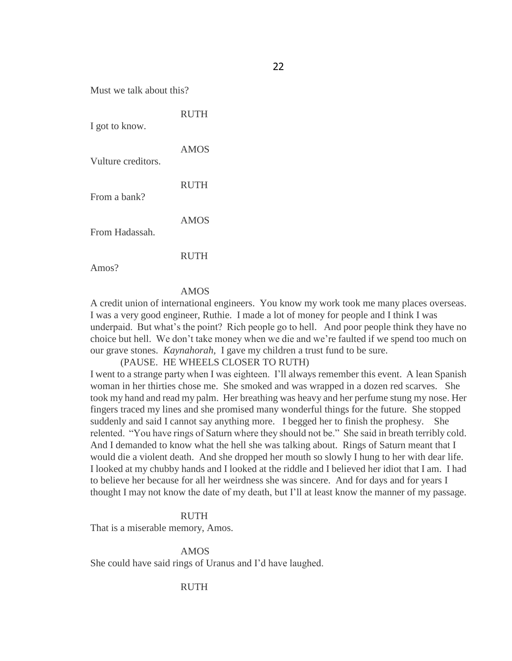Must we talk about this?

| I got to know.     | <b>RUTH</b> |
|--------------------|-------------|
| Vulture creditors. | <b>AMOS</b> |
| From a bank?       | <b>RUTH</b> |
| From Hadassah.     | <b>AMOS</b> |
|                    |             |

Amos?

#### AMOS

A credit union of international engineers. You know my work took me many places overseas. I was a very good engineer, Ruthie. I made a lot of money for people and I think I was underpaid. But what's the point? Rich people go to hell. And poor people think they have no choice but hell. We don"t take money when we die and we"re faulted if we spend too much on our grave stones. *Kaynahorah,* I gave my children a trust fund to be sure.

(PAUSE. HE WHEELS CLOSER TO RUTH)

I went to a strange party when I was eighteen. I"ll always remember this event. A lean Spanish woman in her thirties chose me. She smoked and was wrapped in a dozen red scarves. She took my hand and read my palm. Her breathing was heavy and her perfume stung my nose. Her fingers traced my lines and she promised many wonderful things for the future. She stopped suddenly and said I cannot say anything more. I begged her to finish the prophesy. She relented. "You have rings of Saturn where they should not be." She said in breath terribly cold. And I demanded to know what the hell she was talking about. Rings of Saturn meant that I would die a violent death. And she dropped her mouth so slowly I hung to her with dear life. I looked at my chubby hands and I looked at the riddle and I believed her idiot that I am. I had to believe her because for all her weirdness she was sincere. And for days and for years I thought I may not know the date of my death, but I"ll at least know the manner of my passage.

### RUTH

That is a miserable memory, Amos.

AMOS She could have said rings of Uranus and I"d have laughed.

RUTH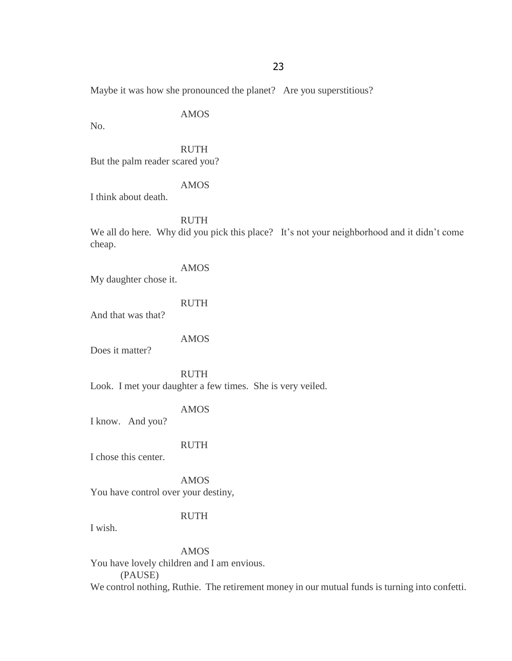Maybe it was how she pronounced the planet? Are you superstitious?

AMOS

No.

RUTH But the palm reader scared you?

AMOS

I think about death.

RUTH

We all do here. Why did you pick this place? It's not your neighborhood and it didn't come cheap.

AMOS

My daughter chose it.

RUTH

And that was that?

AMOS

Does it matter?

RUTH Look. I met your daughter a few times. She is very veiled.

AMOS

I know. And you?

RUTH

I chose this center.

AMOS You have control over your destiny,

# RUTH

I wish.

AMOS

You have lovely children and I am envious. (PAUSE) We control nothing, Ruthie. The retirement money in our mutual funds is turning into confetti.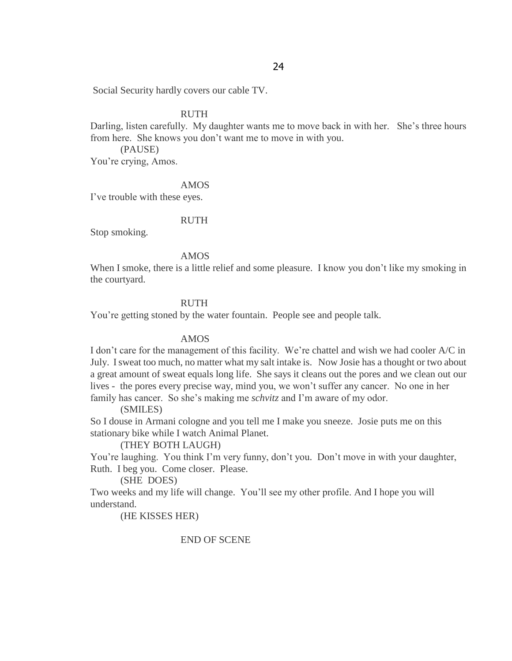Social Security hardly covers our cable TV.

### RUTH

Darling, listen carefully. My daughter wants me to move back in with her. She's three hours from here. She knows you don"t want me to move in with you.

(PAUSE)

You're crying, Amos.

### AMOS

I"ve trouble with these eyes.

### RUTH

Stop smoking.

### AMOS

When I smoke, there is a little relief and some pleasure. I know you don't like my smoking in the courtyard.

# RUTH

You"re getting stoned by the water fountain. People see and people talk.

### AMOS

I don't care for the management of this facility. We're chattel and wish we had cooler A/C in July. I sweat too much, no matter what my salt intake is. Now Josie has a thought or two about a great amount of sweat equals long life. She says it cleans out the pores and we clean out our lives - the pores every precise way, mind you, we won"t suffer any cancer. No one in her family has cancer. So she's making me *schvitz* and I'm aware of my odor.

(SMILES)

So I douse in Armani cologne and you tell me I make you sneeze. Josie puts me on this stationary bike while I watch Animal Planet.

### (THEY BOTH LAUGH)

You're laughing. You think I'm very funny, don't you. Don't move in with your daughter, Ruth. I beg you. Come closer. Please.

### (SHE DOES)

Two weeks and my life will change. You"ll see my other profile. And I hope you will understand.

(HE KISSES HER)

# END OF SCENE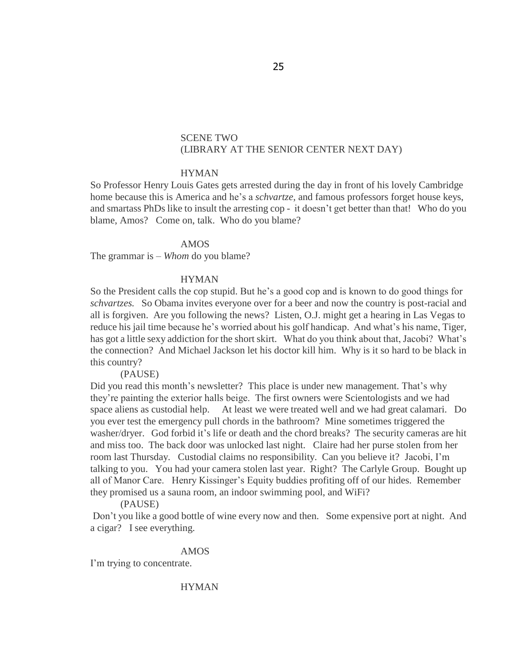# SCENE TWO (LIBRARY AT THE SENIOR CENTER NEXT DAY)

### **HYMAN**

So Professor Henry Louis Gates gets arrested during the day in front of his lovely Cambridge home because this is America and he"s a *schvartze*, and famous professors forget house keys, and smartass PhDs like to insult the arresting cop - it doesn"t get better than that! Who do you blame, Amos? Come on, talk. Who do you blame?

#### AMOS

The grammar is – *Whom* do you blame?

### **HYMAN**

So the President calls the cop stupid. But he's a good cop and is known to do good things for *schvartzes.* So Obama invites everyone over for a beer and now the country is post-racial and all is forgiven. Are you following the news? Listen, O.J. might get a hearing in Las Vegas to reduce his jail time because he's worried about his golf handicap. And what's his name, Tiger, has got a little sexy addiction for the short skirt. What do you think about that, Jacobi? What's the connection? And Michael Jackson let his doctor kill him. Why is it so hard to be black in this country?

(PAUSE)

Did you read this month's newsletter? This place is under new management. That's why they"re painting the exterior halls beige. The first owners were Scientologists and we had space aliens as custodial help. At least we were treated well and we had great calamari. Do you ever test the emergency pull chords in the bathroom? Mine sometimes triggered the washer/dryer. God forbid it's life or death and the chord breaks? The security cameras are hit and miss too. The back door was unlocked last night. Claire had her purse stolen from her room last Thursday. Custodial claims no responsibility. Can you believe it? Jacobi, I"m talking to you. You had your camera stolen last year. Right? The Carlyle Group. Bought up all of Manor Care. Henry Kissinger"s Equity buddies profiting off of our hides. Remember they promised us a sauna room, an indoor swimming pool, and WiFi?

### (PAUSE)

Don"t you like a good bottle of wine every now and then. Some expensive port at night. And a cigar? I see everything.

### AMOS

I'm trying to concentrate.

HYMAN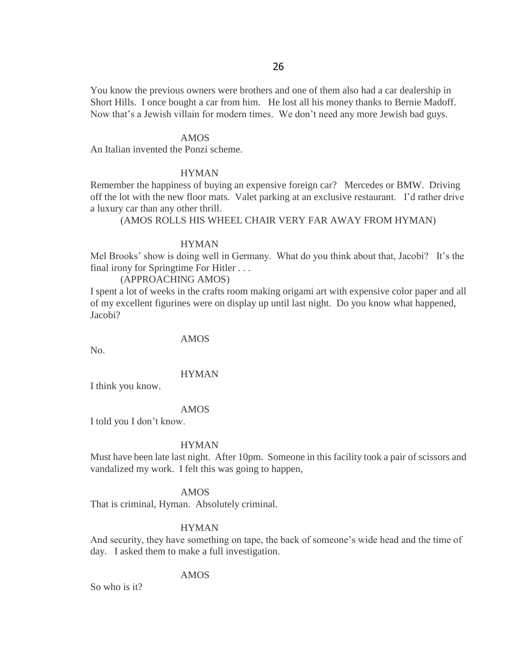You know the previous owners were brothers and one of them also had a car dealership in Short Hills. I once bought a car from him. He lost all his money thanks to Bernie Madoff. Now that's a Jewish villain for modern times. We don't need any more Jewish bad guys.

#### AMOS

An Italian invented the Ponzi scheme.

### HYMAN

Remember the happiness of buying an expensive foreign car? Mercedes or BMW. Driving off the lot with the new floor mats. Valet parking at an exclusive restaurant. I"d rather drive a luxury car than any other thrill.

### (AMOS ROLLS HIS WHEEL CHAIR VERY FAR AWAY FROM HYMAN)

#### HYMAN

Mel Brooks' show is doing well in Germany. What do you think about that, Jacobi? It's the final irony for Springtime For Hitler . . .

### (APPROACHING AMOS)

I spent a lot of weeks in the crafts room making origami art with expensive color paper and all of my excellent figurines were on display up until last night. Do you know what happened, Jacobi?

AMOS

No.

### HYMAN

I think you know.

#### AMOS

I told you I don"t know.

#### HYMAN

Must have been late last night. After 10pm. Someone in this facility took a pair of scissors and vandalized my work. I felt this was going to happen,

#### AMOS

That is criminal, Hyman. Absolutely criminal.

### HYMAN

And security, they have something on tape, the back of someone"s wide head and the time of day. I asked them to make a full investigation.

### AMOS

So who is it?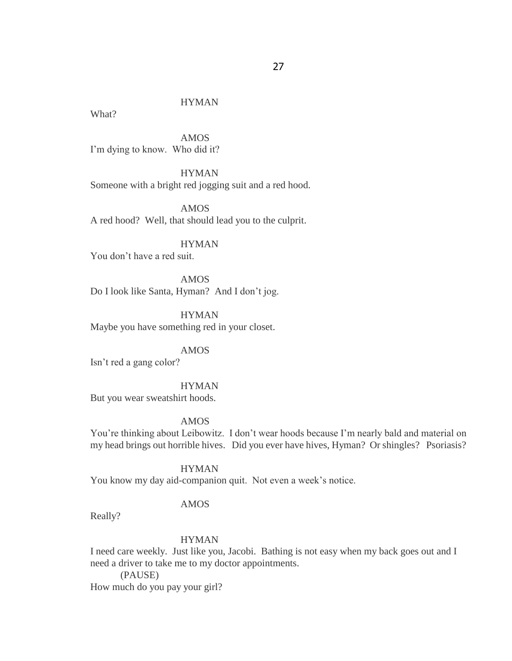# HYMAN

What?

AMOS I'm dying to know. Who did it?

HYMAN Someone with a bright red jogging suit and a red hood.

AMOS A red hood? Well, that should lead you to the culprit.

# HYMAN

You don"t have a red suit.

AMOS Do I look like Santa, Hyman? And I don't jog.

HYMAN Maybe you have something red in your closet.

AMOS

Isn"t red a gang color?

**HYMAN** 

But you wear sweatshirt hoods.

### AMOS

You"re thinking about Leibowitz. I don"t wear hoods because I"m nearly bald and material on my head brings out horrible hives. Did you ever have hives, Hyman? Or shingles? Psoriasis?

### HYMAN

You know my day aid-companion quit. Not even a week's notice.

### AMOS

Really?

### HYMAN

I need care weekly. Just like you, Jacobi. Bathing is not easy when my back goes out and I need a driver to take me to my doctor appointments.

(PAUSE)

How much do you pay your girl?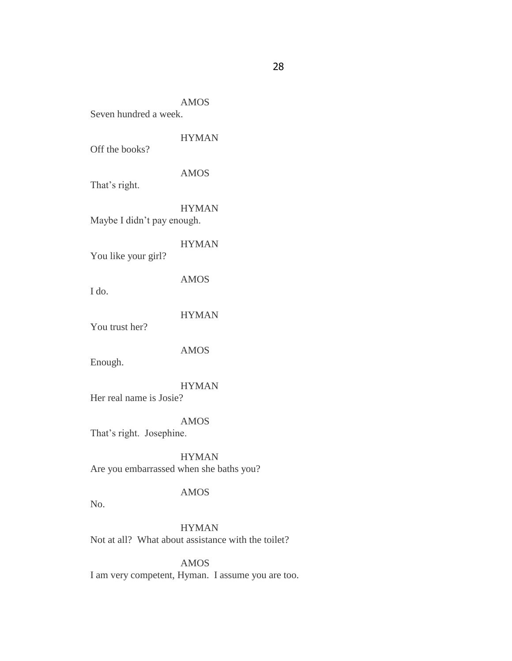AMOS Seven hundred a week.

HYMAN Off the books? AMOS That's right. HYMAN Maybe I didn"t pay enough. HYMAN You like your girl? AMOS I do. HYMAN You trust her? AMOS

Enough.

HYMAN Her real name is Josie?

AMOS That's right. Josephine.

HYMAN Are you embarrassed when she baths you?

# AMOS

No.

HYMAN Not at all? What about assistance with the toilet?

AMOS I am very competent, Hyman. I assume you are too.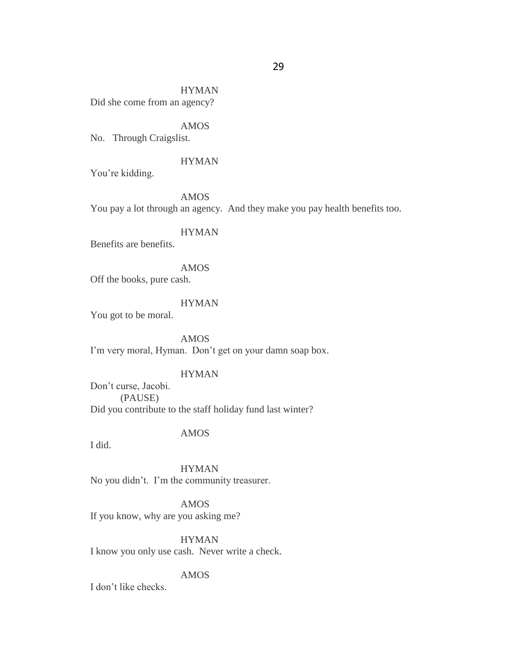HYMAN Did she come from an agency?

AMOS

No. Through Craigslist.

## HYMAN

You"re kidding.

AMOS You pay a lot through an agency. And they make you pay health benefits too.

HYMAN

Benefits are benefits.

AMOS Off the books, pure cash.

HYMAN

You got to be moral.

AMOS I'm very moral, Hyman. Don't get on your damn soap box.

# HYMAN

Don"t curse, Jacobi. (PAUSE) Did you contribute to the staff holiday fund last winter?

# AMOS

I did.

HYMAN No you didn"t. I"m the community treasurer.

AMOS If you know, why are you asking me?

HYMAN I know you only use cash. Never write a check.

# AMOS

I don"t like checks.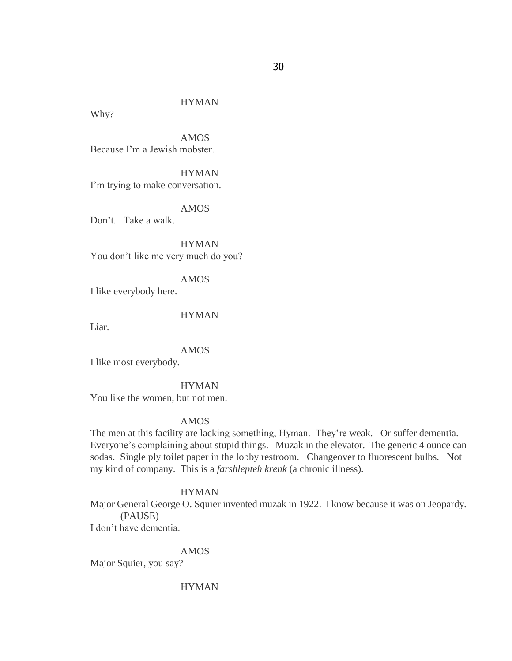# HYMAN

Why?

AMOS Because I"m a Jewish mobster.

HYMAN I'm trying to make conversation.

AMOS Don"t. Take a walk.

HYMAN You don"t like me very much do you?

AMOS

I like everybody here.

HYMAN

Liar.

AMOS

I like most everybody.

**HYMAN** 

You like the women, but not men.

### AMOS

The men at this facility are lacking something, Hyman. They"re weak. Or suffer dementia. Everyone's complaining about stupid things. Muzak in the elevator. The generic 4 ounce can sodas. Single ply toilet paper in the lobby restroom. Changeover to fluorescent bulbs. Not my kind of company. This is a *farshlepteh krenk* (a chronic illness).

## HYMAN

Major General George O. Squier invented muzak in 1922. I know because it was on Jeopardy. (PAUSE)

I don"t have dementia.

AMOS

Major Squier, you say?

HYMAN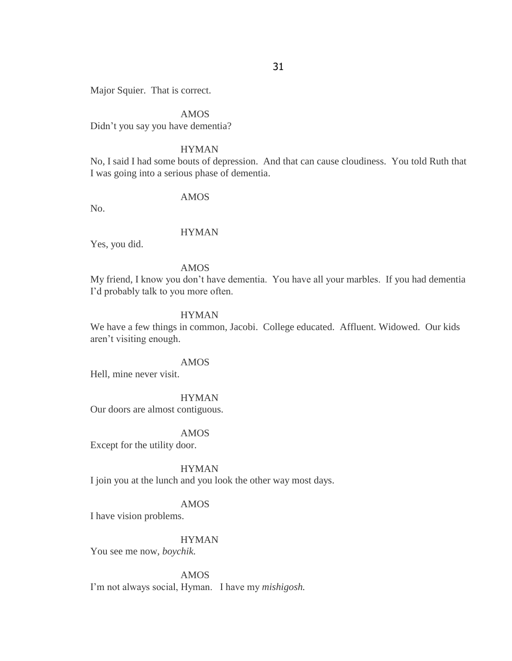Major Squier. That is correct.

#### AMOS

Didn"t you say you have dementia?

#### **HYMAN**

No, I said I had some bouts of depression. And that can cause cloudiness. You told Ruth that I was going into a serious phase of dementia.

## AMOS

No.

#### HYMAN

Yes, you did.

### AMOS

My friend, I know you don"t have dementia. You have all your marbles. If you had dementia I"d probably talk to you more often.

#### HYMAN

We have a few things in common, Jacobi. College educated. Affluent. Widowed. Our kids aren"t visiting enough.

#### AMOS

Hell, mine never visit.

#### HYMAN

Our doors are almost contiguous.

### AMOS

Except for the utility door.

### HYMAN

I join you at the lunch and you look the other way most days.

### AMOS

I have vision problems.

# HYMAN

You see me now, *boychik.*

#### AMOS

I"m not always social, Hyman. I have my *mishigosh.*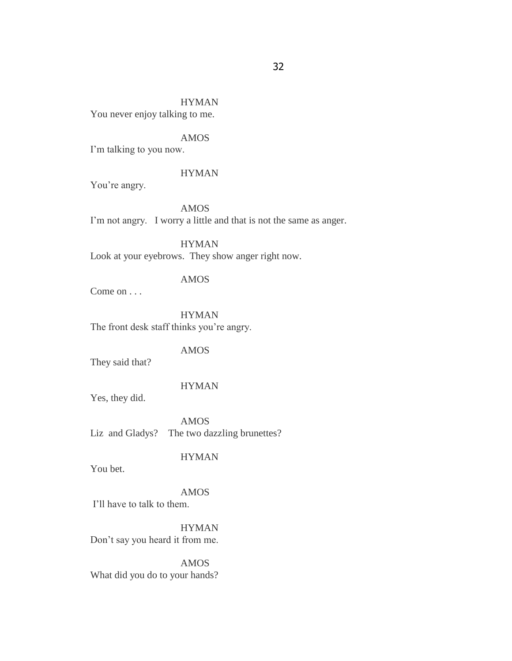# HYMAN

You never enjoy talking to me.

# AMOS

I'm talking to you now.

#### HYMAN

You're angry.

AMOS I'm not angry. I worry a little and that is not the same as anger.

HYMAN Look at your eyebrows. They show anger right now.

### AMOS

Come on . . .

HYMAN The front desk staff thinks you're angry.

# AMOS

They said that?

# HYMAN

Yes, they did.

AMOS Liz and Gladys? The two dazzling brunettes?

# **HYMAN**

You bet.

### AMOS I"ll have to talk to them.

HYMAN

Don"t say you heard it from me.

AMOS What did you do to your hands?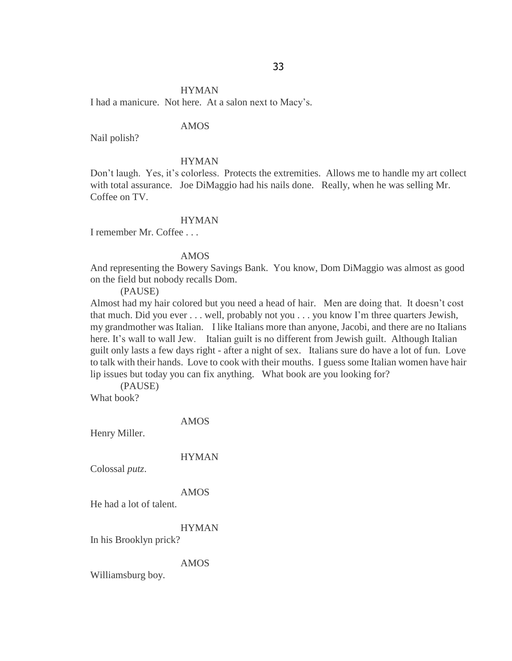# HYMAN I had a manicure. Not here. At a salon next to Macy"s.

### AMOS

Nail polish?

### HYMAN

Don't laugh. Yes, it's colorless. Protects the extremities. Allows me to handle my art collect with total assurance. Joe DiMaggio had his nails done. Really, when he was selling Mr. Coffee on TV.

### HYMAN

I remember Mr. Coffee . . .

#### AMOS

And representing the Bowery Savings Bank. You know, Dom DiMaggio was almost as good on the field but nobody recalls Dom.

(PAUSE)

Almost had my hair colored but you need a head of hair. Men are doing that. It doesn"t cost that much. Did you ever . . . well, probably not you . . . you know I"m three quarters Jewish, my grandmother was Italian. I like Italians more than anyone, Jacobi, and there are no Italians here. It's wall to wall Jew. Italian guilt is no different from Jewish guilt. Although Italian guilt only lasts a few days right - after a night of sex. Italians sure do have a lot of fun. Love to talk with their hands. Love to cook with their mouths. I guess some Italian women have hair lip issues but today you can fix anything. What book are you looking for?

(PAUSE) What book?

AMOS

Henry Miller.

# HYMAN

Colossal *putz*.

#### AMOS

He had a lot of talent.

#### HYMAN

In his Brooklyn prick?

#### AMOS

Williamsburg boy.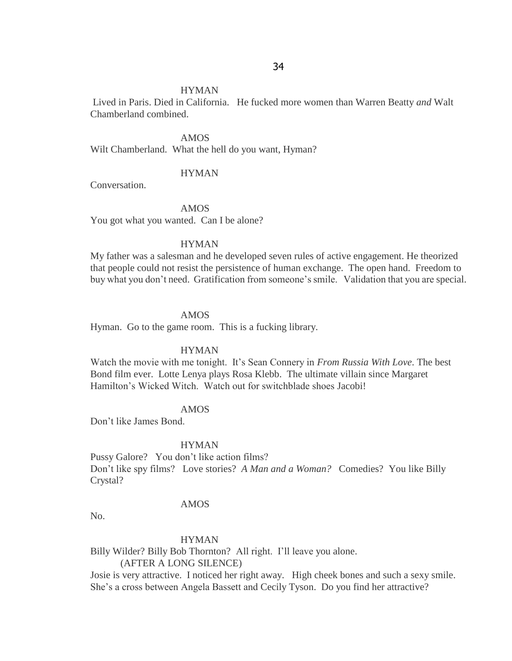#### HYMAN

Lived in Paris. Died in California. He fucked more women than Warren Beatty *and* Walt Chamberland combined.

AMOS

Wilt Chamberland. What the hell do you want, Hyman?

#### HYMAN

Conversation.

AMOS You got what you wanted. Can I be alone?

#### HYMAN

My father was a salesman and he developed seven rules of active engagement. He theorized that people could not resist the persistence of human exchange. The open hand. Freedom to buy what you don't need. Gratification from someone's smile. Validation that you are special.

#### AMOS

Hyman. Go to the game room. This is a fucking library.

#### HYMAN

Watch the movie with me tonight. It"s Sean Connery in *From Russia With Love*. The best Bond film ever. Lotte Lenya plays Rosa Klebb. The ultimate villain since Margaret Hamilton"s Wicked Witch. Watch out for switchblade shoes Jacobi!

### AMOS

Don"t like James Bond.

#### HYMAN

Pussy Galore? You don't like action films? Don"t like spy films? Love stories? *A Man and a Woman?* Comedies? You like Billy Crystal?

### AMOS

No.

#### HYMAN

Billy Wilder? Billy Bob Thornton? All right. I"ll leave you alone.

#### (AFTER A LONG SILENCE)

Josie is very attractive. I noticed her right away. High cheek bones and such a sexy smile. She's a cross between Angela Bassett and Cecily Tyson. Do you find her attractive?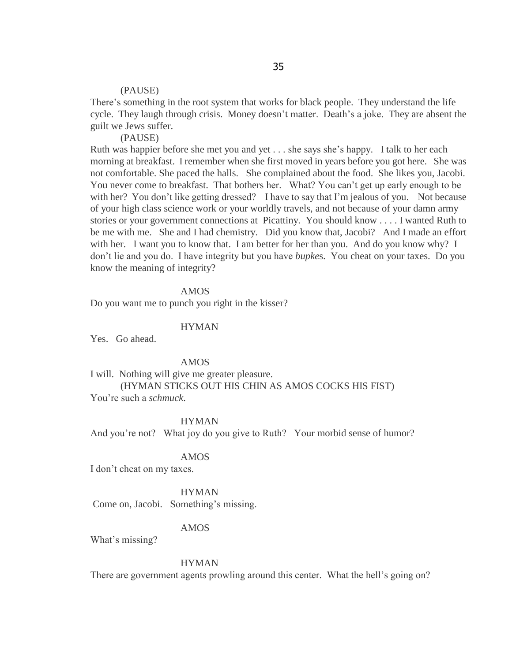#### (PAUSE)

There"s something in the root system that works for black people. They understand the life cycle. They laugh through crisis. Money doesn't matter. Death's a joke. They are absent the guilt we Jews suffer.

### (PAUSE)

Ruth was happier before she met you and yet . . . she says she"s happy. I talk to her each morning at breakfast. I remember when she first moved in years before you got here. She was not comfortable. She paced the halls. She complained about the food. She likes you, Jacobi. You never come to breakfast. That bothers her. What? You can't get up early enough to be with her? You don't like getting dressed? I have to say that I'm jealous of you. Not because of your high class science work or your worldly travels, and not because of your damn army stories or your government connections at Picattiny. You should know . . . . I wanted Ruth to be me with me. She and I had chemistry. Did you know that, Jacobi? And I made an effort with her. I want you to know that. I am better for her than you. And do you know why? I don"t lie and you do. I have integrity but you have *bupke*s. You cheat on your taxes. Do you know the meaning of integrity?

### AMOS

Do you want me to punch you right in the kisser?

#### HYMAN

Yes. Go ahead.

#### AMOS

I will. Nothing will give me greater pleasure. (HYMAN STICKS OUT HIS CHIN AS AMOS COCKS HIS FIST) You"re such a *schmuck*.

#### HYMAN

And you're not? What joy do you give to Ruth? Your morbid sense of humor?

### AMOS

I don"t cheat on my taxes.

#### **HYMAN**

Come on, Jacobi. Something's missing.

### AMOS

What's missing?

#### HYMAN

There are government agents prowling around this center. What the hell's going on?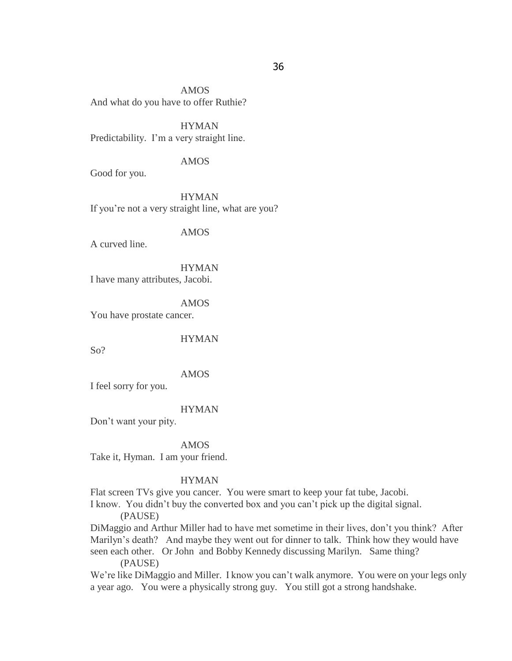AMOS And what do you have to offer Ruthie?

HYMAN Predictability. I'm a very straight line.

### AMOS

Good for you.

HYMAN If you"re not a very straight line, what are you?

AMOS

A curved line.

HYMAN I have many attributes, Jacobi.

AMOS You have prostate cancer.

HYMAN

So?

AMOS

I feel sorry for you.

HYMAN

Don"t want your pity.

#### AMOS

Take it, Hyman. I am your friend.

#### HYMAN

Flat screen TVs give you cancer. You were smart to keep your fat tube, Jacobi.

I know. You didn"t buy the converted box and you can"t pick up the digital signal.

(PAUSE)

DiMaggio and Arthur Miller had to have met sometime in their lives, don"t you think? After Marilyn's death? And maybe they went out for dinner to talk. Think how they would have seen each other. Or John and Bobby Kennedy discussing Marilyn. Same thing?

(PAUSE)

We're like DiMaggio and Miller. I know you can't walk anymore. You were on your legs only a year ago. You were a physically strong guy. You still got a strong handshake.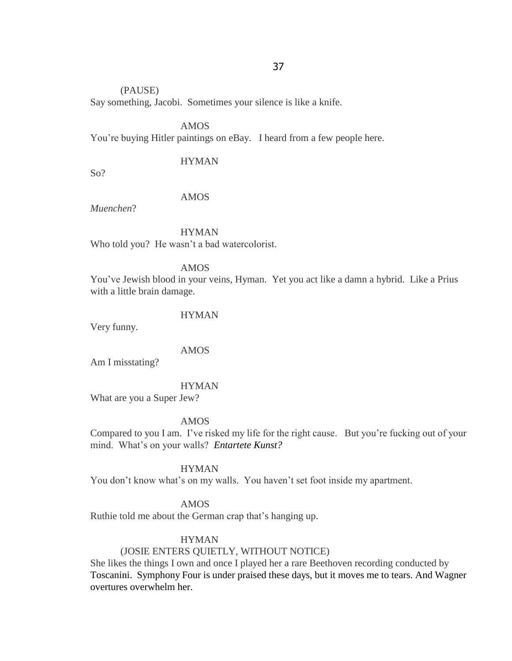# (PAUSE)

Say something, Jacobi. Sometimes your silence is like a knife.

AMOS You"re buying Hitler paintings on eBay. I heard from a few people here.

## HYMAN

So?

## AMOS

*Muenchen*?

HYMAN Who told you? He wasn't a bad watercolorist.

AMOS

You"ve Jewish blood in your veins, Hyman. Yet you act like a damn a hybrid. Like a Prius with a little brain damage.

HYMAN

Very funny.

AMOS

Am I misstating?

**HYMAN** 

What are you a Super Jew?

AMOS

Compared to you I am. I"ve risked my life for the right cause. But you"re fucking out of your mind. What"s on your walls? *Entartete Kunst?* 

HYMAN

You don't know what's on my walls. You haven't set foot inside my apartment.

AMOS

Ruthie told me about the German crap that's hanging up.

## HYMAN

## (JOSIE ENTERS QUIETLY, WITHOUT NOTICE)

She likes the things I own and once I played her a rare Beethoven recording conducted by Toscanini. Symphony Four is under praised these days, but it moves me to tears. And Wagner overtures overwhelm her.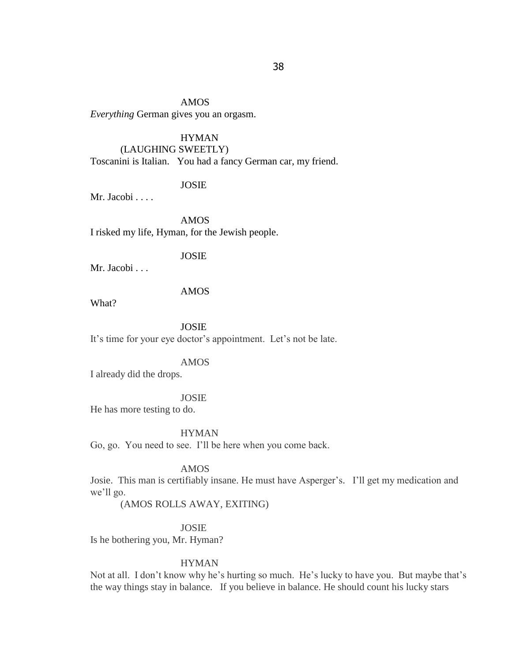AMOS *Everything* German gives you an orgasm.

## HYMAN

## (LAUGHING SWEETLY)

Toscanini is Italian. You had a fancy German car, my friend.

## JOSIE

Mr. Jacobi . . . .

AMOS I risked my life, Hyman, for the Jewish people.

#### JOSIE

Mr. Jacobi . . .

## AMOS

What?

JOSIE It's time for your eye doctor's appointment. Let's not be late.

#### AMOS

I already did the drops.

#### JOSIE

He has more testing to do.

HYMAN

Go, go. You need to see. I"ll be here when you come back.

## AMOS

Josie. This man is certifiably insane. He must have Asperger"s. I"ll get my medication and we'll go.

(AMOS ROLLS AWAY, EXITING)

JOSIE

Is he bothering you, Mr. Hyman?

#### **HYMAN**

Not at all. I don't know why he's hurting so much. He's lucky to have you. But maybe that's the way things stay in balance. If you believe in balance. He should count his lucky stars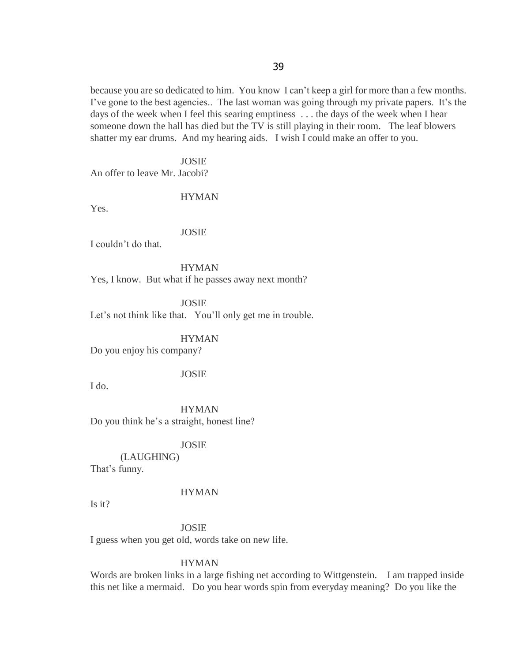because you are so dedicated to him. You know I can"t keep a girl for more than a few months. I've gone to the best agencies.. The last woman was going through my private papers. It's the days of the week when I feel this searing emptiness . . . the days of the week when I hear someone down the hall has died but the TV is still playing in their room. The leaf blowers shatter my ear drums. And my hearing aids. I wish I could make an offer to you.

JOSIE

An offer to leave Mr. Jacobi?

#### HYMAN

Yes.

#### JOSIE

I couldn"t do that.

HYMAN Yes, I know. But what if he passes away next month?

JOSIE Let's not think like that. You'll only get me in trouble.

HYMAN

Do you enjoy his company?

## JOSIE

I do.

HYMAN Do you think he's a straight, honest line?

## JOSIE

(LAUGHING) That's funny.

#### **HYMAN**

Is it?

JOSIE

I guess when you get old, words take on new life.

#### HYMAN

Words are broken links in a large fishing net according to Wittgenstein. I am trapped inside this net like a mermaid. Do you hear words spin from everyday meaning? Do you like the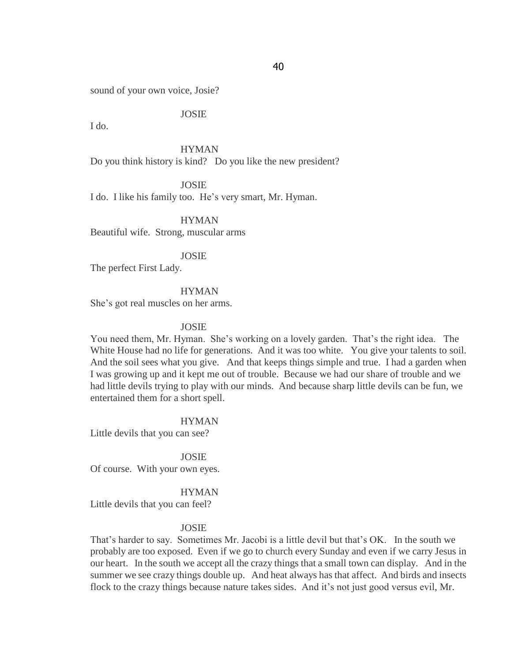sound of your own voice, Josie?

JOSIE

I do.

HYMAN Do you think history is kind? Do you like the new president?

JOSIE I do. I like his family too. He"s very smart, Mr. Hyman.

HYMAN Beautiful wife. Strong, muscular arms

JOSIE

The perfect First Lady.

HYMAN

She"s got real muscles on her arms.

#### JOSIE

You need them, Mr. Hyman. She"s working on a lovely garden. That"s the right idea. The White House had no life for generations. And it was too white. You give your talents to soil. And the soil sees what you give. And that keeps things simple and true. I had a garden when I was growing up and it kept me out of trouble. Because we had our share of trouble and we had little devils trying to play with our minds. And because sharp little devils can be fun, we entertained them for a short spell.

HYMAN

Little devils that you can see?

JOSIE Of course. With your own eyes.

**HYMAN** 

Little devils that you can feel?

## JOSIE

That's harder to say. Sometimes Mr. Jacobi is a little devil but that's OK. In the south we probably are too exposed. Even if we go to church every Sunday and even if we carry Jesus in our heart. In the south we accept all the crazy things that a small town can display. And in the summer we see crazy things double up. And heat always has that affect. And birds and insects flock to the crazy things because nature takes sides. And it's not just good versus evil, Mr.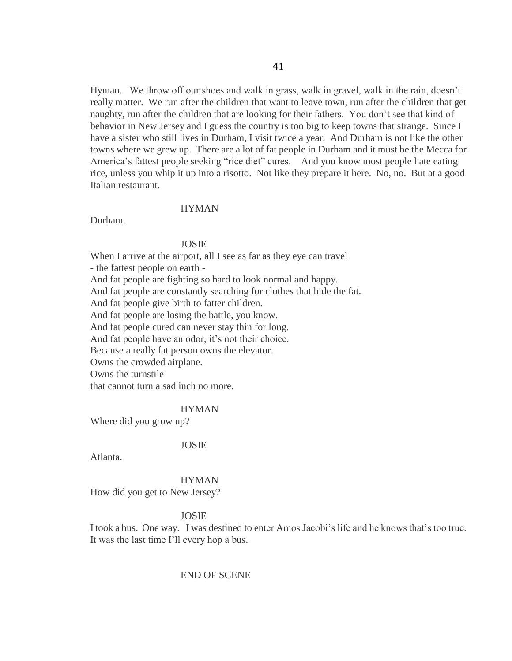Hyman. We throw off our shoes and walk in grass, walk in gravel, walk in the rain, doesn"t really matter. We run after the children that want to leave town, run after the children that get naughty, run after the children that are looking for their fathers. You don"t see that kind of behavior in New Jersey and I guess the country is too big to keep towns that strange. Since I have a sister who still lives in Durham, I visit twice a year. And Durham is not like the other towns where we grew up. There are a lot of fat people in Durham and it must be the Mecca for America's fattest people seeking "rice diet" cures. And you know most people hate eating rice, unless you whip it up into a risotto. Not like they prepare it here. No, no. But at a good Italian restaurant.

## HYMAN

Durham.

#### JOSIE

When I arrive at the airport, all I see as far as they eye can travel

- the fattest people on earth -

And fat people are fighting so hard to look normal and happy.

And fat people are constantly searching for clothes that hide the fat.

And fat people give birth to fatter children.

And fat people are losing the battle, you know.

And fat people cured can never stay thin for long.

And fat people have an odor, it's not their choice.

Because a really fat person owns the elevator.

Owns the crowded airplane.

Owns the turnstile

that cannot turn a sad inch no more.

#### HYMAN

Where did you grow up?

#### JOSIE

Atlanta.

#### HYMAN

How did you get to New Jersey?

## JOSIE

I took a bus. One way. I was destined to enter Amos Jacobi"s life and he knows that"s too true. It was the last time I"ll every hop a bus.

#### END OF SCENE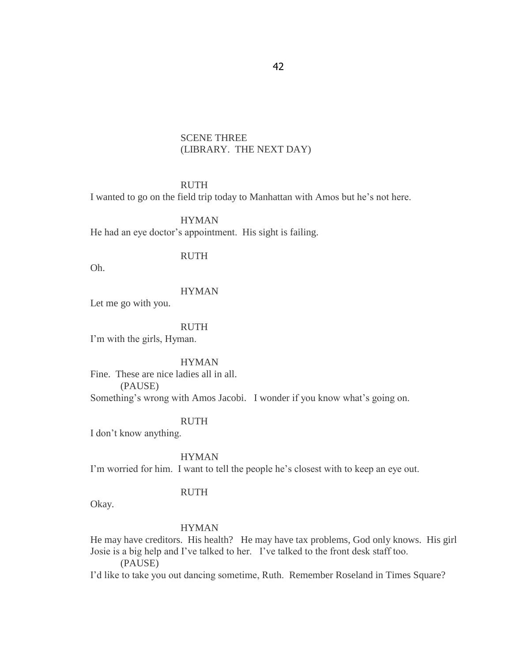## SCENE THREE (LIBRARY. THE NEXT DAY)

## RUTH

I wanted to go on the field trip today to Manhattan with Amos but he"s not here.

HYMAN He had an eye doctor's appointment. His sight is failing.

#### RUTH

Oh.

## **HYMAN**

Let me go with you.

#### RUTH

I"m with the girls, Hyman.

HYMAN

Fine. These are nice ladies all in all.

(PAUSE)

Something's wrong with Amos Jacobi. I wonder if you know what's going on.

#### RUTH

I don"t know anything.

HYMAN

I'm worried for him. I want to tell the people he's closest with to keep an eye out.

#### RUTH

Okay.

## HYMAN

He may have creditors. His health? He may have tax problems, God only knows. His girl Josie is a big help and I"ve talked to her. I"ve talked to the front desk staff too.

(PAUSE)

I"d like to take you out dancing sometime, Ruth. Remember Roseland in Times Square?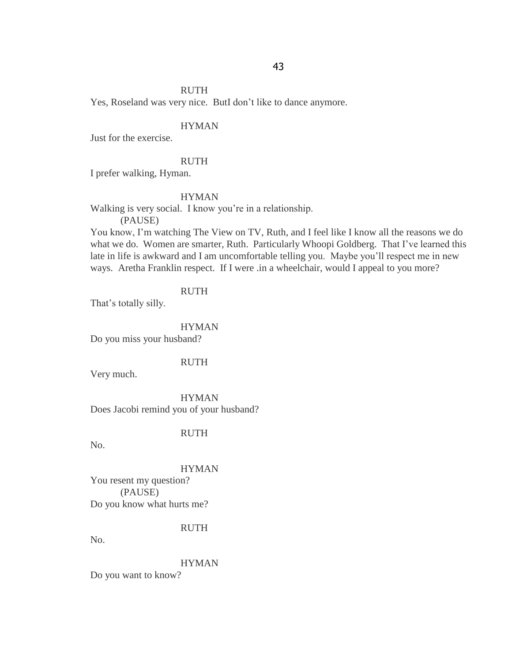#### RUTH

Yes, Roseland was very nice. ButI don"t like to dance anymore.

## HYMAN

Just for the exercise.

#### RUTH

I prefer walking, Hyman.

## HYMAN

Walking is very social. I know you"re in a relationship.

(PAUSE)

You know, I"m watching The View on TV, Ruth, and I feel like I know all the reasons we do what we do. Women are smarter, Ruth. Particularly Whoopi Goldberg. That I've learned this late in life is awkward and I am uncomfortable telling you. Maybe you"ll respect me in new ways. Aretha Franklin respect. If I were .in a wheelchair, would I appeal to you more?

## RUTH

That's totally silly.

#### HYMAN

Do you miss your husband?

#### RUTH

Very much.

#### HYMAN

Does Jacobi remind you of your husband?

## RUTH

No.

## HYMAN

You resent my question? (PAUSE) Do you know what hurts me?

#### RUTH

No.

#### HYMAN

Do you want to know?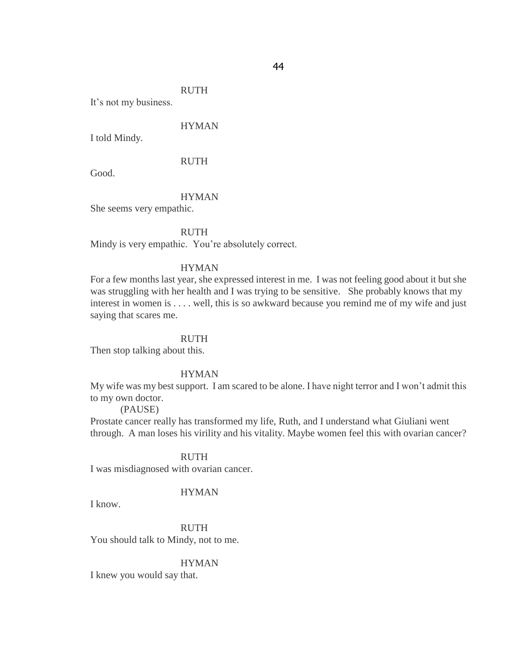#### RUTH

It"s not my business.

## HYMAN

I told Mindy.

#### RUTH

Good.

#### HYMAN

She seems very empathic.

#### RUTH

Mindy is very empathic. You're absolutely correct.

## HYMAN

For a few months last year, she expressed interest in me. I was not feeling good about it but she was struggling with her health and I was trying to be sensitive. She probably knows that my interest in women is . . . . well, this is so awkward because you remind me of my wife and just saying that scares me.

#### RUTH

Then stop talking about this.

## HYMAN

My wife was my best support. I am scared to be alone. I have night terror and I won"t admit this to my own doctor.

#### (PAUSE)

Prostate cancer really has transformed my life, Ruth, and I understand what Giuliani went through. A man loses his virility and his vitality. Maybe women feel this with ovarian cancer?

#### RUTH

I was misdiagnosed with ovarian cancer.

#### **HYMAN**

I know.

RUTH You should talk to Mindy, not to me.

#### HYMAN

I knew you would say that.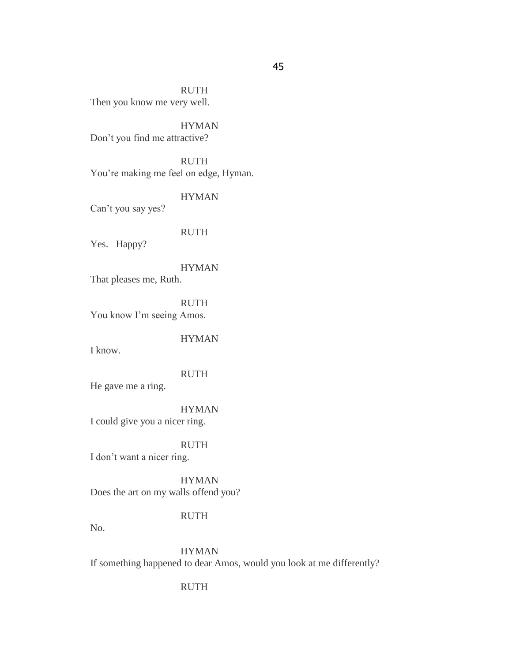RUTH Then you know me very well.

HYMAN Don"t you find me attractive?

RUTH You're making me feel on edge, Hyman.

Can"t you say yes?

RUTH

HYMAN

Yes. Happy?

HYMAN That pleases me, Ruth.

RUTH You know I'm seeing Amos.

HYMAN

I know.

RUTH

He gave me a ring.

HYMAN

I could give you a nicer ring.

RUTH

I don"t want a nicer ring.

HYMAN Does the art on my walls offend you?

## RUTH

No.

HYMAN If something happened to dear Amos, would you look at me differently?

RUTH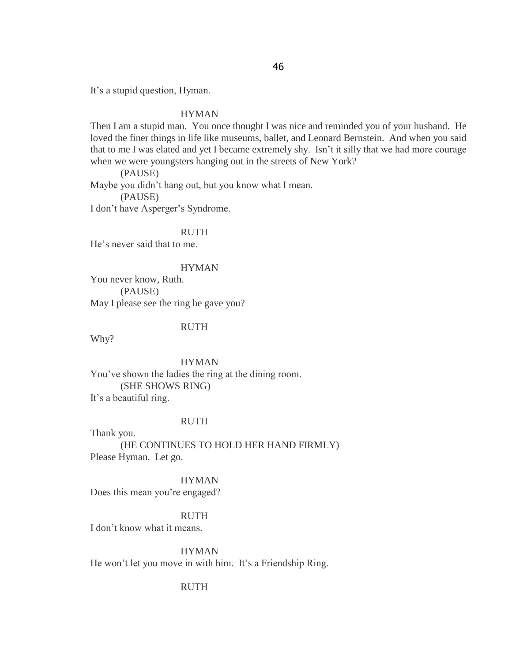It"s a stupid question, Hyman.

#### HYMAN

Then I am a stupid man. You once thought I was nice and reminded you of your husband. He loved the finer things in life like museums, ballet, and Leonard Bernstein. And when you said that to me I was elated and yet I became extremely shy. Isn"t it silly that we had more courage when we were youngsters hanging out in the streets of New York?

(PAUSE) Maybe you didn"t hang out, but you know what I mean. (PAUSE) I don"t have Asperger"s Syndrome.

#### RUTH

He"s never said that to me.

## HYMAN

You never know, Ruth. (PAUSE) May I please see the ring he gave you?

#### RUTH

Why?

HYMAN You"ve shown the ladies the ring at the dining room. (SHE SHOWS RING) It's a beautiful ring.

#### RUTH

Thank you. (HE CONTINUES TO HOLD HER HAND FIRMLY) Please Hyman. Let go.

#### HYMAN

Does this mean you're engaged?

## RUTH

I don"t know what it means.

HYMAN He won't let you move in with him. It's a Friendship Ring.

## RUTH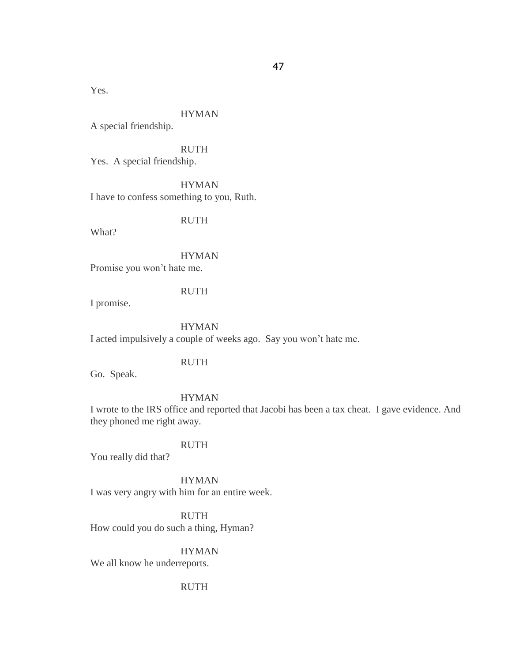Yes.

## HYMAN

A special friendship.

RUTH

Yes. A special friendship.

**HYMAN** I have to confess something to you, Ruth.

RUTH

What?

HYMAN

Promise you won"t hate me.

## RUTH

I promise.

## HYMAN

I acted impulsively a couple of weeks ago. Say you won"t hate me.

RUTH

Go. Speak.

HYMAN

I wrote to the IRS office and reported that Jacobi has been a tax cheat. I gave evidence. And they phoned me right away.

## RUTH

You really did that?

HYMAN I was very angry with him for an entire week.

RUTH How could you do such a thing, Hyman?

#### HYMAN

We all know he underreports.

## RUTH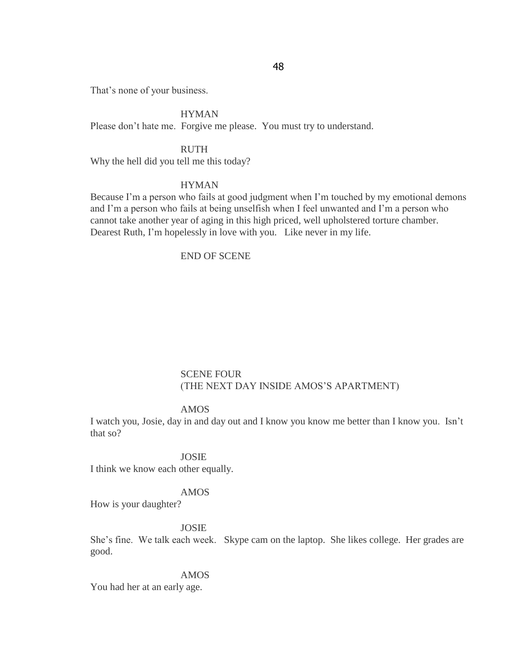That's none of your business.

HYMAN Please don't hate me. Forgive me please. You must try to understand.

RUTH Why the hell did you tell me this today?

## HYMAN

Because I'm a person who fails at good judgment when I'm touched by my emotional demons and I'm a person who fails at being unselfish when I feel unwanted and I'm a person who cannot take another year of aging in this high priced, well upholstered torture chamber. Dearest Ruth, I"m hopelessly in love with you. Like never in my life.

## END OF SCENE

## SCENE FOUR (THE NEXT DAY INSIDE AMOS"S APARTMENT)

## AMOS

I watch you, Josie, day in and day out and I know you know me better than I know you. Isn"t that so?

JOSIE

I think we know each other equally.

## AMOS

How is your daughter?

## JOSIE

She's fine. We talk each week. Skype cam on the laptop. She likes college. Her grades are good.

## AMOS

You had her at an early age.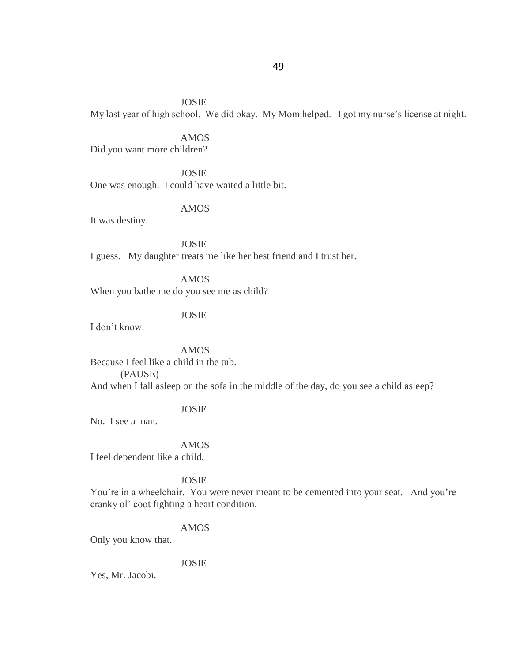JOSIE

My last year of high school. We did okay. My Mom helped. I got my nurse's license at night.

AMOS

Did you want more children?

JOSIE One was enough. I could have waited a little bit.

AMOS

It was destiny.

JOSIE I guess. My daughter treats me like her best friend and I trust her.

AMOS When you bathe me do you see me as child?

JOSIE

I don"t know.

AMOS Because I feel like a child in the tub. (PAUSE) And when I fall asleep on the sofa in the middle of the day, do you see a child asleep?

## JOSIE

No. I see a man.

AMOS

I feel dependent like a child.

#### JOSIE

You"re in a wheelchair. You were never meant to be cemented into your seat. And you"re cranky ol' coot fighting a heart condition.

## AMOS

Only you know that.

## JOSIE

Yes, Mr. Jacobi.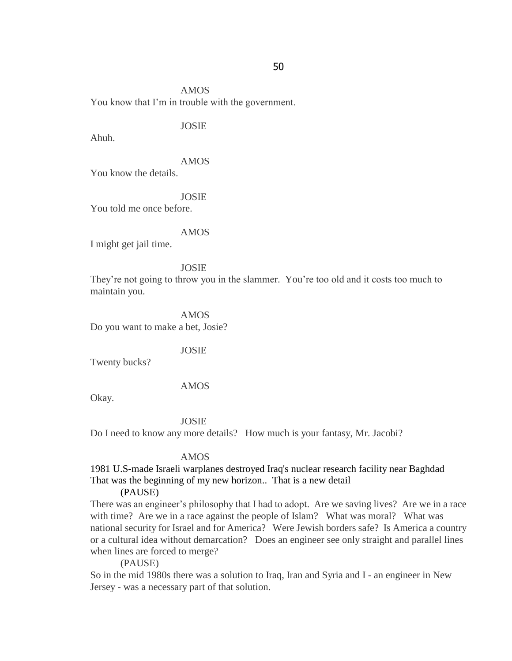AMOS You know that I"m in trouble with the government.

## JOSIE

Ahuh.

## AMOS

You know the details.

JOSIE

You told me once before.

#### AMOS

I might get jail time.

#### JOSIE

They're not going to throw you in the slammer. You're too old and it costs too much to maintain you.

#### AMOS

Do you want to make a bet, Josie?

#### JOSIE

Twenty bucks?

## AMOS

Okay.

#### JOSIE

Do I need to know any more details? How much is your fantasy, Mr. Jacobi?

#### AMOS

1981 U.S-made Israeli warplanes destroyed Iraq's nuclear research facility near Baghdad That was the beginning of my new horizon.. That is a new detail

#### (PAUSE)

There was an engineer's philosophy that I had to adopt. Are we saving lives? Are we in a race with time? Are we in a race against the people of Islam? What was moral? What was national security for Israel and for America? Were Jewish borders safe? Is America a country or a cultural idea without demarcation? Does an engineer see only straight and parallel lines when lines are forced to merge?

(PAUSE)

So in the mid 1980s there was a solution to Iraq, Iran and Syria and I - an engineer in New Jersey - was a necessary part of that solution.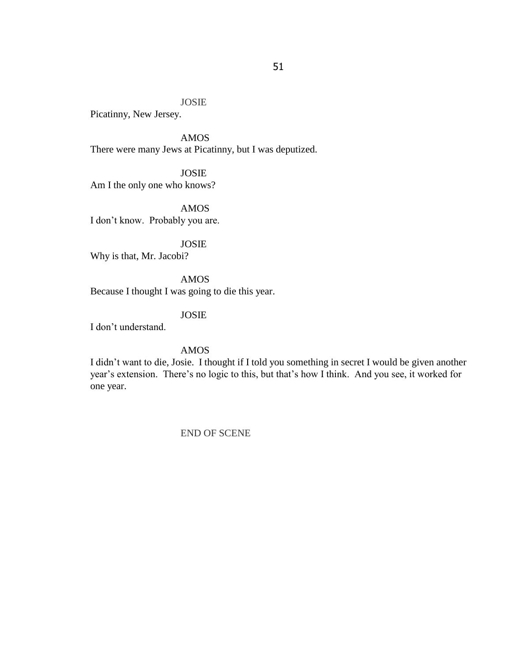## JOSIE

Picatinny, New Jersey.

AMOS There were many Jews at Picatinny, but I was deputized.

JOSIE Am I the only one who knows?

AMOS I don"t know. Probably you are.

JOSIE Why is that, Mr. Jacobi?

AMOS Because I thought I was going to die this year.

## JOSIE

I don"t understand.

## AMOS

I didn"t want to die, Josie. I thought if I told you something in secret I would be given another year's extension. There's no logic to this, but that's how I think. And you see, it worked for one year.

## END OF SCENE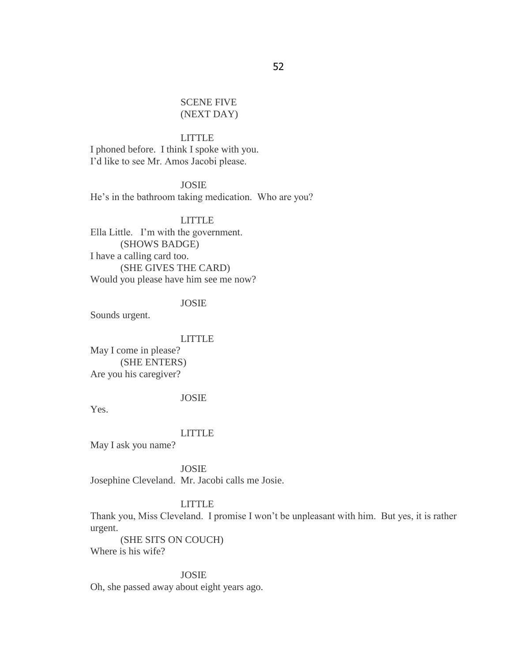## SCENE FIVE (NEXT DAY)

#### LITTLE

I phoned before. I think I spoke with you. I"d like to see Mr. Amos Jacobi please.

JOSIE He's in the bathroom taking medication. Who are you?

LITTLE Ella Little. I'm with the government. (SHOWS BADGE) I have a calling card too. (SHE GIVES THE CARD) Would you please have him see me now?

## JOSIE

Sounds urgent.

#### LITTLE

May I come in please? (SHE ENTERS) Are you his caregiver?

## JOSIE

Yes.

## LITTLE

May I ask you name?

JOSIE Josephine Cleveland. Mr. Jacobi calls me Josie.

## LITTLE

Thank you, Miss Cleveland. I promise I won't be unpleasant with him. But yes, it is rather urgent.

(SHE SITS ON COUCH) Where is his wife?

#### JOSIE

Oh, she passed away about eight years ago.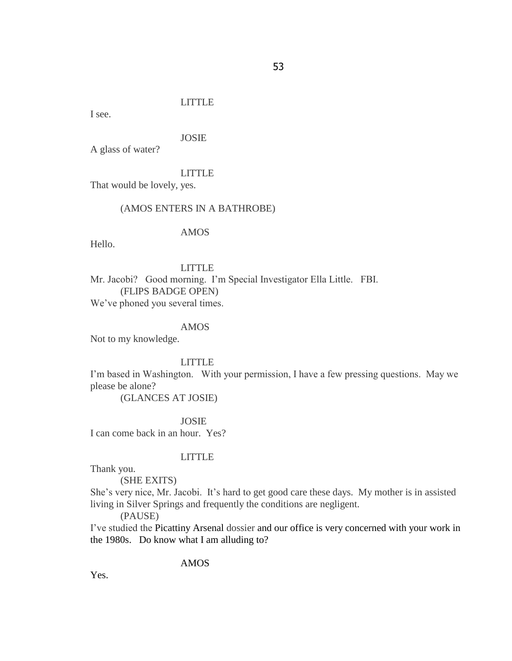## LITTLE

I see.

## JOSIE

A glass of water?

#### LITTLE

That would be lovely, yes.

#### (AMOS ENTERS IN A BATHROBE)

#### AMOS

Hello.

## LITTLE

Mr. Jacobi? Good morning. I"m Special Investigator Ella Little. FBI. (FLIPS BADGE OPEN) We've phoned you several times.

#### AMOS

Not to my knowledge.

#### LITTLE

I'm based in Washington. With your permission, I have a few pressing questions. May we please be alone?

(GLANCES AT JOSIE)

#### JOSIE

I can come back in an hour. Yes?

## LITTLE

Thank you.

(SHE EXITS)

She's very nice, Mr. Jacobi. It's hard to get good care these days. My mother is in assisted living in Silver Springs and frequently the conditions are negligent.

(PAUSE)

I"ve studied the Picattiny Arsenal dossier and our office is very concerned with your work in the 1980s. Do know what I am alluding to?

## AMOS

Yes.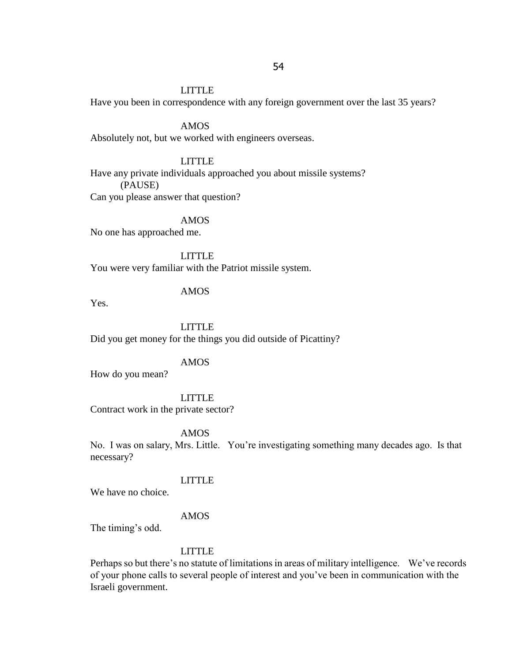## LITTLE

Have you been in correspondence with any foreign government over the last 35 years?

AMOS

Absolutely not, but we worked with engineers overseas.

## LITTLE

Have any private individuals approached you about missile systems? (PAUSE) Can you please answer that question?

AMOS

No one has approached me.

LITTLE

You were very familiar with the Patriot missile system.

## AMOS

Yes.

LITTLE

Did you get money for the things you did outside of Picattiny?

#### AMOS

How do you mean?

#### LITTLE

Contract work in the private sector?

AMOS

No. I was on salary, Mrs. Little. You"re investigating something many decades ago. Is that necessary?

## LITTLE

We have no choice.

## AMOS

The timing's odd.

## LITTLE

Perhaps so but there's no statute of limitations in areas of military intelligence. We've records of your phone calls to several people of interest and you"ve been in communication with the Israeli government.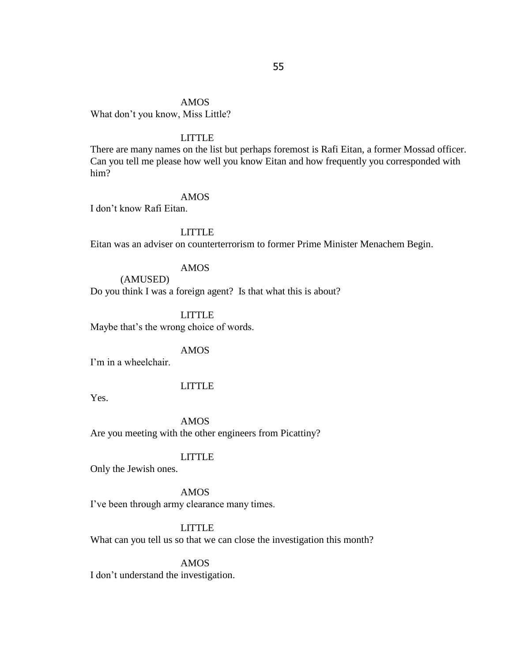AMOS What don"t you know, Miss Little?

## LITTLE

There are many names on the list but perhaps foremost is Rafi Eitan, a former Mossad officer. Can you tell me please how well you know Eitan and how frequently you corresponded with him?

## AMOS

I don"t know Rafi Eitan.

## LITTLE

Eitan was an adviser on counterterrorism to former Prime Minister Menachem Begin.

## AMOS

(AMUSED) Do you think I was a foreign agent? Is that what this is about?

LITTLE

Maybe that's the wrong choice of words.

## AMOS

I'm in a wheelchair.

## LITTLE

Yes.

AMOS Are you meeting with the other engineers from Picattiny?

## LITTLE

Only the Jewish ones.

## AMOS

I've been through army clearance many times.

## LITTLE

What can you tell us so that we can close the investigation this month?

#### AMOS

I don"t understand the investigation.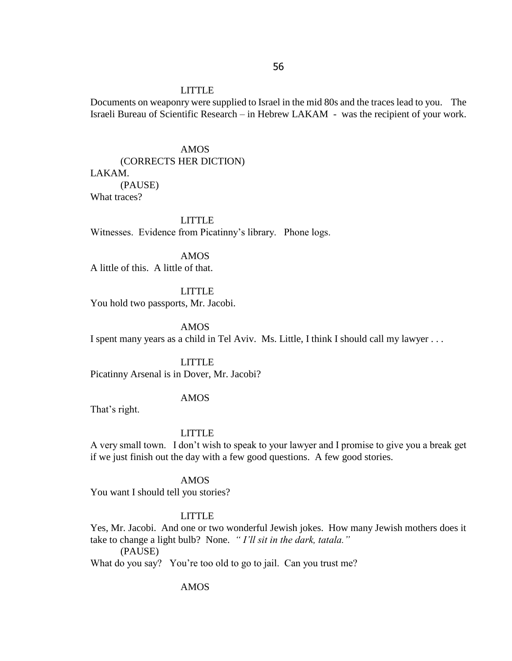#### LITTLE

Documents on weaponry were supplied to Israel in the mid 80s and the traces lead to you. The Israeli Bureau of Scientific Research – in Hebrew LAKAM - was the recipient of your work.

## AMOS

## (CORRECTS HER DICTION)

#### LAKAM.

(PAUSE) What traces?

LITTLE Witnesses. Evidence from Picatinny"s library. Phone logs.

AMOS A little of this. A little of that.

LITTLE You hold two passports, Mr. Jacobi.

AMOS I spent many years as a child in Tel Aviv. Ms. Little, I think I should call my lawyer . . .

LITTLE Picatinny Arsenal is in Dover, Mr. Jacobi?

## AMOS

That's right.

## LITTLE

A very small town. I don"t wish to speak to your lawyer and I promise to give you a break get if we just finish out the day with a few good questions. A few good stories.

#### AMOS

You want I should tell you stories?

## LITTLE

Yes, Mr. Jacobi. And one or two wonderful Jewish jokes. How many Jewish mothers does it take to change a light bulb? None. *" I'll sit in the dark, tatala."*

(PAUSE)

What do you say? You"re too old to go to jail. Can you trust me?

AMOS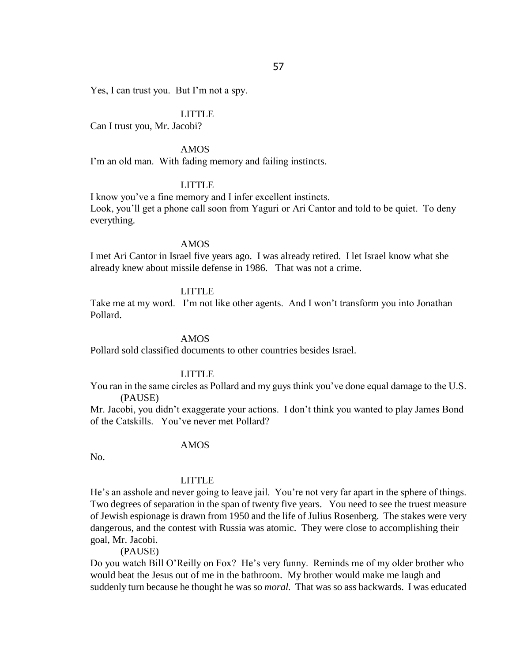Yes, I can trust you. But I'm not a spy.

#### LITTLE

Can I trust you, Mr. Jacobi?

## AMOS

I'm an old man. With fading memory and failing instincts.

## LITTLE

I know you"ve a fine memory and I infer excellent instincts. Look, you"ll get a phone call soon from Yaguri or Ari Cantor and told to be quiet. To deny everything.

#### AMOS

I met Ari Cantor in Israel five years ago. I was already retired. I let Israel know what she already knew about missile defense in 1986. That was not a crime.

## LITTLE

Take me at my word. I'm not like other agents. And I won't transform you into Jonathan Pollard.

#### AMOS

Pollard sold classified documents to other countries besides Israel.

#### LITTLE

You ran in the same circles as Pollard and my guys think you"ve done equal damage to the U.S. (PAUSE)

Mr. Jacobi, you didn"t exaggerate your actions. I don"t think you wanted to play James Bond of the Catskills. You"ve never met Pollard?

#### AMOS

No.

#### LITTLE

He"s an asshole and never going to leave jail. You"re not very far apart in the sphere of things. Two degrees of separation in the span of twenty five years. You need to see the truest measure of Jewish espionage is drawn from 1950 and the life of Julius Rosenberg. The stakes were very dangerous, and the contest with Russia was atomic. They were close to accomplishing their goal, Mr. Jacobi.

(PAUSE)

Do you watch Bill O'Reilly on Fox? He's very funny. Reminds me of my older brother who would beat the Jesus out of me in the bathroom. My brother would make me laugh and suddenly turn because he thought he was so *moral.* That was so ass backwards. I was educated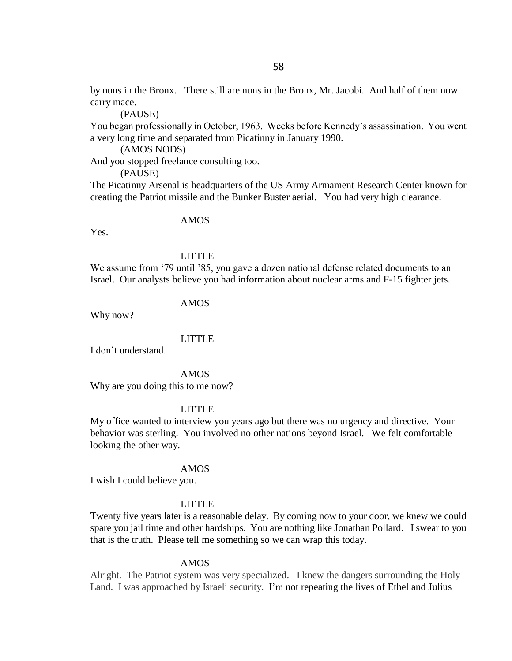by nuns in the Bronx. There still are nuns in the Bronx, Mr. Jacobi. And half of them now carry mace.

(PAUSE)

You began professionally in October, 1963. Weeks before Kennedy"s assassination. You went a very long time and separated from Picatinny in January 1990.

(AMOS NODS)

And you stopped freelance consulting too.

(PAUSE)

The Picatinny Arsenal is headquarters of the US Army Armament Research Center known for creating the Patriot missile and the Bunker Buster aerial. You had very high clearance.

#### AMOS

Yes.

## LITTLE

We assume from '79 until '85, you gave a dozen national defense related documents to an Israel. Our analysts believe you had information about nuclear arms and F-15 fighter jets.

## AMOS

Why now?

#### LITTLE

I don"t understand.

AMOS Why are you doing this to me now?

#### LITTLE

My office wanted to interview you years ago but there was no urgency and directive. Your behavior was sterling. You involved no other nations beyond Israel. We felt comfortable looking the other way.

#### AMOS

I wish I could believe you.

#### LITTLE

Twenty five years later is a reasonable delay. By coming now to your door, we knew we could spare you jail time and other hardships. You are nothing like Jonathan Pollard. I swear to you that is the truth. Please tell me something so we can wrap this today.

#### AMOS

Alright. The Patriot system was very specialized. I knew the dangers surrounding the Holy Land. I was approached by Israeli security. I'm not repeating the lives of Ethel and Julius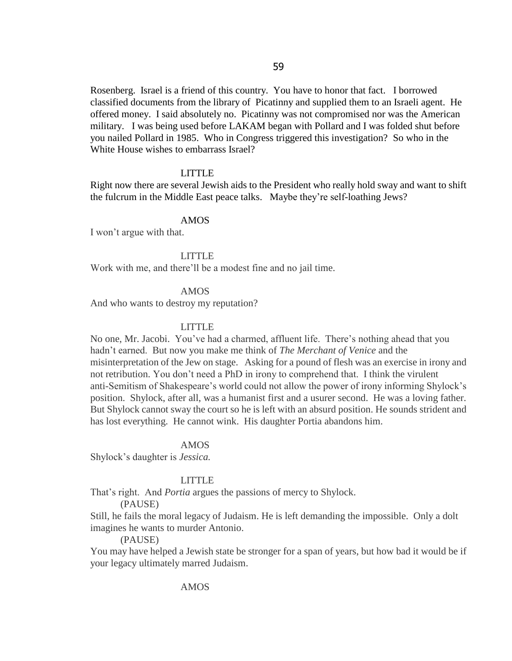Rosenberg. Israel is a friend of this country. You have to honor that fact. I borrowed classified documents from the library of Picatinny and supplied them to an Israeli agent. He offered money. I said absolutely no. Picatinny was not compromised nor was the American military. I was being used before LAKAM began with Pollard and I was folded shut before you nailed Pollard in 1985. Who in Congress triggered this investigation? So who in the White House wishes to embarrass Israel?

#### LITTLE

Right now there are several Jewish aids to the President who really hold sway and want to shift the fulcrum in the Middle East peace talks. Maybe they"re self-loathing Jews?

#### AMOS

I won"t argue with that.

#### LITTLE

Work with me, and there"ll be a modest fine and no jail time.

## AMOS

And who wants to destroy my reputation?

#### LITTLE

No one, Mr. Jacobi. You"ve had a charmed, affluent life. There"s nothing ahead that you hadn"t earned. But now you make me think of *The Merchant of Venice* and the misinterpretation of the Jew on stage. Asking for a pound of flesh was an exercise in irony and not retribution. You don"t need a PhD in irony to comprehend that. I think the virulent anti-Semitism of Shakespeare"s world could not allow the power of irony informing Shylock"s position. Shylock, after all, was a humanist first and a usurer second. He was a loving father. But Shylock cannot sway the court so he is left with an absurd position. He sounds strident and has lost everything. He cannot wink. His daughter Portia abandons him.

#### AMOS

Shylock"s daughter is *Jessica.*

## LITTLE

That"s right. And *Portia* argues the passions of mercy to Shylock.

(PAUSE)

Still, he fails the moral legacy of Judaism. He is left demanding the impossible. Only a dolt imagines he wants to murder Antonio.

#### (PAUSE)

You may have helped a Jewish state be stronger for a span of years, but how bad it would be if your legacy ultimately marred Judaism.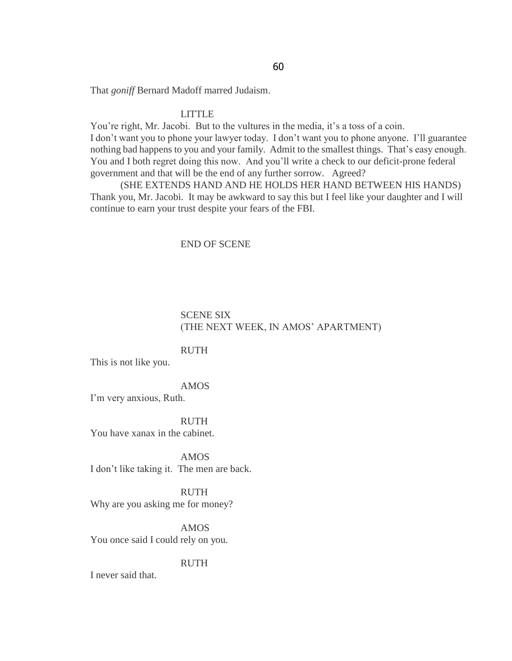That *goniff* Bernard Madoff marred Judaism.

#### LITTLE

You're right, Mr. Jacobi. But to the vultures in the media, it's a toss of a coin. I don"t want you to phone your lawyer today. I don"t want you to phone anyone. I"ll guarantee nothing bad happens to you and your family. Admit to the smallest things. That's easy enough. You and I both regret doing this now. And you"ll write a check to our deficit-prone federal government and that will be the end of any further sorrow. Agreed?

(SHE EXTENDS HAND AND HE HOLDS HER HAND BETWEEN HIS HANDS) Thank you, Mr. Jacobi. It may be awkward to say this but I feel like your daughter and I will continue to earn your trust despite your fears of the FBI.

## END OF SCENE

## SCENE SIX (THE NEXT WEEK, IN AMOS" APARTMENT)

## RUTH

This is not like you.

## AMOS

I"m very anxious, Ruth.

#### RUTH

You have xanax in the cabinet.

AMOS I don"t like taking it. The men are back.

RUTH Why are you asking me for money?

AMOS You once said I could rely on you.

#### RUTH

I never said that.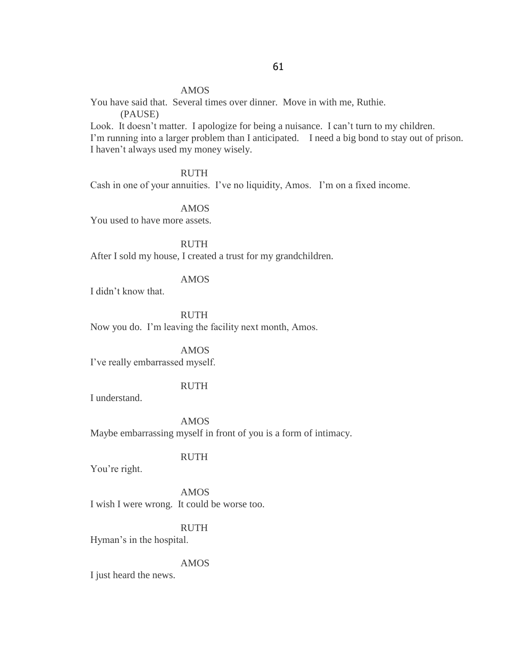## AMOS

You have said that. Several times over dinner. Move in with me, Ruthie. (PAUSE)

Look. It doesn't matter. I apologize for being a nuisance. I can't turn to my children. I'm running into a larger problem than I anticipated. I need a big bond to stay out of prison. I haven"t always used my money wisely.

RUTH

Cash in one of your annuities. I've no liquidity, Amos. I'm on a fixed income.

AMOS You used to have more assets.

RUTH

After I sold my house, I created a trust for my grandchildren.

## AMOS

I didn"t know that.

RUTH Now you do. I"m leaving the facility next month, Amos.

AMOS I"ve really embarrassed myself.

## RUTH

I understand.

AMOS Maybe embarrassing myself in front of you is a form of intimacy.

## RUTH

You"re right.

AMOS I wish I were wrong. It could be worse too.

## RUTH

Hyman"s in the hospital.

## AMOS

I just heard the news.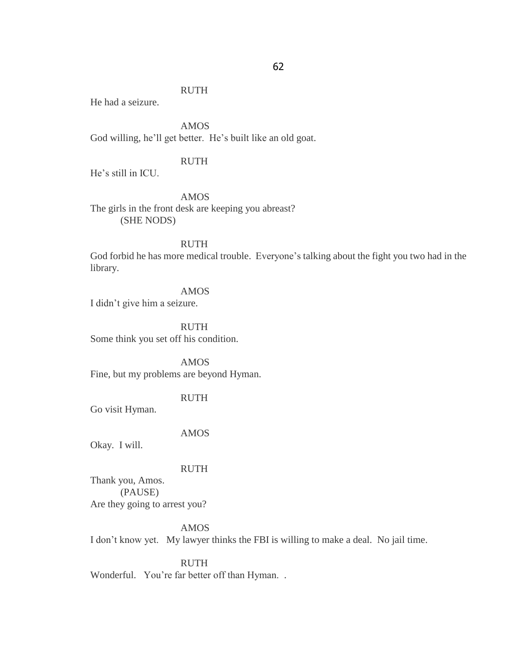#### RUTH

He had a seizure.

AMOS God willing, he'll get better. He's built like an old goat.

## RUTH

He"s still in ICU.

AMOS The girls in the front desk are keeping you abreast? (SHE NODS)

## RUTH

God forbid he has more medical trouble. Everyone's talking about the fight you two had in the library.

AMOS

I didn"t give him a seizure.

RUTH Some think you set off his condition.

AMOS Fine, but my problems are beyond Hyman.

RUTH

Go visit Hyman.

AMOS

Okay. I will.

RUTH

Thank you, Amos. (PAUSE) Are they going to arrest you?

AMOS

I don"t know yet. My lawyer thinks the FBI is willing to make a deal. No jail time.

RUTH

Wonderful. You're far better off than Hyman..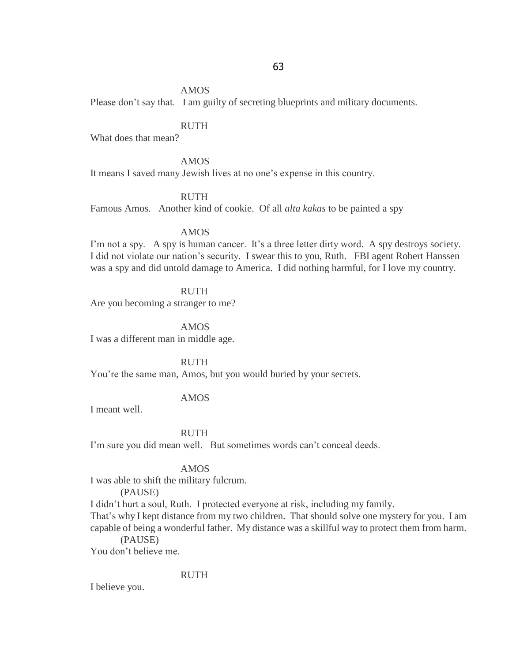#### AMOS

Please don't say that. I am guilty of secreting blueprints and military documents.

## RUTH

What does that mean?

#### AMOS

It means I saved many Jewish lives at no one's expense in this country.

## RUTH

Famous Amos. Another kind of cookie. Of all *alta kakas* to be painted a spy

#### AMOS

I'm not a spy. A spy is human cancer. It's a three letter dirty word. A spy destroys society. I did not violate our nation"s security. I swear this to you, Ruth. FBI agent Robert Hanssen was a spy and did untold damage to America. I did nothing harmful, for I love my country.

## RUTH

Are you becoming a stranger to me?

AMOS I was a different man in middle age.

RUTH

You"re the same man, Amos, but you would buried by your secrets.

#### AMOS

I meant well.

## RUTH

I'm sure you did mean well. But sometimes words can't conceal deeds.

#### AMOS

I was able to shift the military fulcrum.

(PAUSE)

I didn"t hurt a soul, Ruth. I protected everyone at risk, including my family.

That's why I kept distance from my two children. That should solve one mystery for you. I am capable of being a wonderful father. My distance was a skillful way to protect them from harm.

(PAUSE)

You don"t believe me.

#### RUTH

I believe you.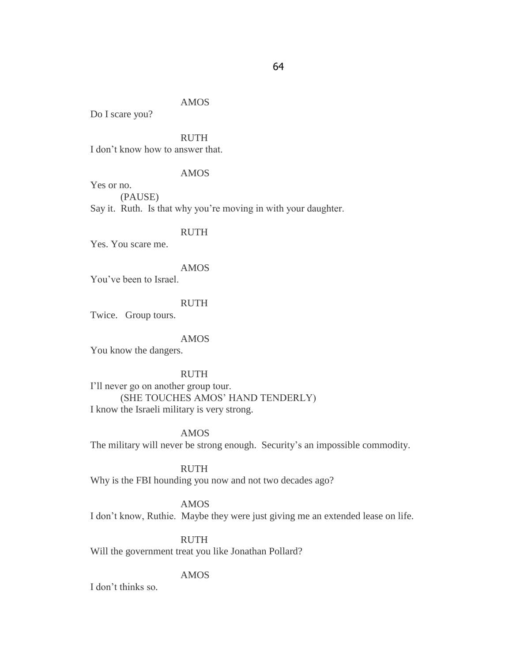## AMOS

Do I scare you?

RUTH

I don"t know how to answer that.

## AMOS

Yes or no. (PAUSE) Say it. Ruth. Is that why you"re moving in with your daughter.

RUTH

Yes. You scare me.

## AMOS

You"ve been to Israel.

## RUTH

Twice. Group tours.

#### AMOS

You know the dangers.

RUTH I"ll never go on another group tour. (SHE TOUCHES AMOS" HAND TENDERLY)

I know the Israeli military is very strong.

AMOS The military will never be strong enough. Security's an impossible commodity.

## RUTH

Why is the FBI hounding you now and not two decades ago?

## AMOS

I don"t know, Ruthie. Maybe they were just giving me an extended lease on life.

## RUTH

Will the government treat you like Jonathan Pollard?

## AMOS

I don"t thinks so*.*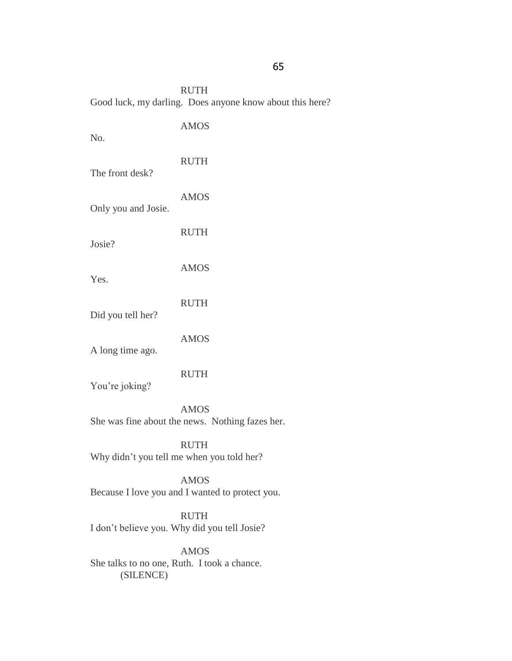RUTH Good luck, my darling. Does anyone know about this here?

| No.                                                      | <b>AMOS</b>                                                    |
|----------------------------------------------------------|----------------------------------------------------------------|
| The front desk?                                          | <b>RUTH</b>                                                    |
| Only you and Josie.                                      | <b>AMOS</b>                                                    |
| Josie?                                                   | <b>RUTH</b>                                                    |
| Yes.                                                     | <b>AMOS</b>                                                    |
| Did you tell her?                                        | <b>RUTH</b>                                                    |
| A long time ago.                                         | <b>AMOS</b>                                                    |
| You're joking?                                           | <b>RUTH</b>                                                    |
|                                                          | <b>AMOS</b><br>She was fine about the news. Nothing fazes her. |
| <b>RUTH</b><br>Why didn't you tell me when you told her? |                                                                |
|                                                          | <b>AMOS</b><br>Because I love you and I wanted to protect you. |

RUTH I don"t believe you. Why did you tell Josie?

AMOS She talks to no one, Ruth. I took a chance. (SILENCE)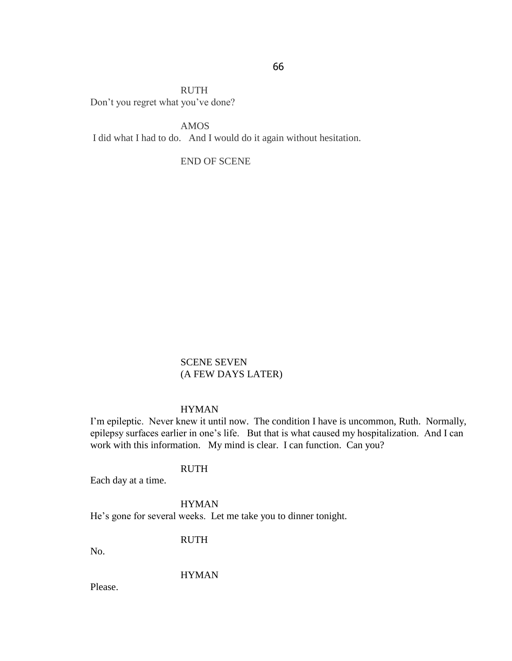RUTH Don"t you regret what you"ve done?

AMOS I did what I had to do. And I would do it again without hesitation.

END OF SCENE

SCENE SEVEN (A FEW DAYS LATER)

## HYMAN

I'm epileptic. Never knew it until now. The condition I have is uncommon, Ruth. Normally, epilepsy surfaces earlier in one's life. But that is what caused my hospitalization. And I can work with this information. My mind is clear. I can function. Can you?

## RUTH

Each day at a time.

## HYMAN

He's gone for several weeks. Let me take you to dinner tonight.

RUTH

No.

## HYMAN

Please.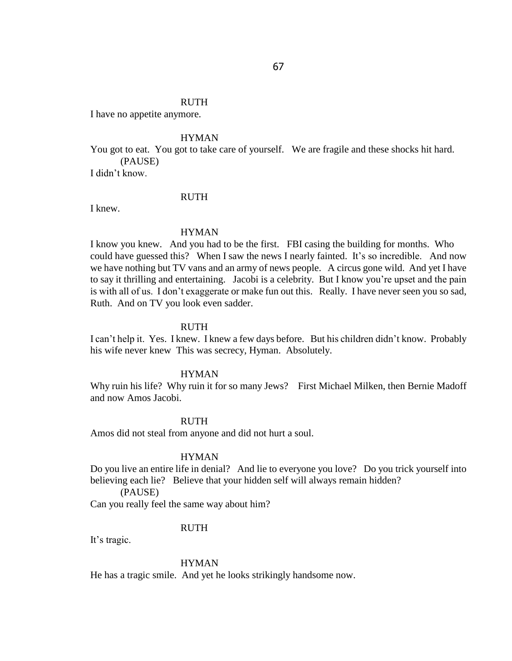## RUTH

I have no appetite anymore.

## HYMAN

You got to eat. You got to take care of yourself. We are fragile and these shocks hit hard. (PAUSE)

I didn"t know.

#### RUTH

I knew.

#### HYMAN

I know you knew. And you had to be the first. FBI casing the building for months. Who could have guessed this? When I saw the news I nearly fainted. It's so incredible. And now we have nothing but TV vans and an army of news people. A circus gone wild. And yet I have to say it thrilling and entertaining. Jacobi is a celebrity. But I know you"re upset and the pain is with all of us. I don't exaggerate or make fun out this. Really. I have never seen you so sad, Ruth. And on TV you look even sadder.

#### **RUTH**

I can't help it. Yes. I knew. I knew a few days before. But his children didn't know. Probably his wife never knew This was secrecy, Hyman. Absolutely.

#### HYMAN

Why ruin his life? Why ruin it for so many Jews? First Michael Milken, then Bernie Madoff and now Amos Jacobi.

#### **RUTH**

Amos did not steal from anyone and did not hurt a soul.

#### HYMAN

Do you live an entire life in denial? And lie to everyone you love? Do you trick yourself into believing each lie? Believe that your hidden self will always remain hidden?

(PAUSE)

Can you really feel the same way about him?

## RUTH

It's tragic.

#### HYMAN

He has a tragic smile. And yet he looks strikingly handsome now.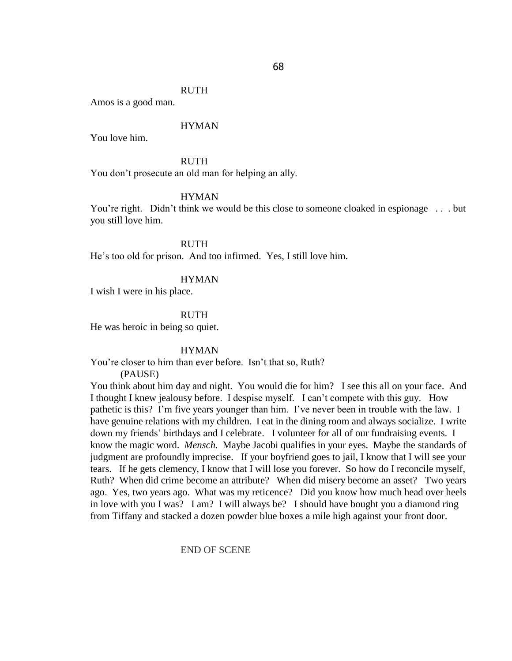#### RUTH

Amos is a good man.

## HYMAN

You love him.

#### RUTH

You don"t prosecute an old man for helping an ally.

## HYMAN

You're right. Didn't think we would be this close to someone cloaked in espionage . . . but you still love him.

RUTH

He"s too old for prison. And too infirmed. Yes, I still love him.

#### HYMAN

I wish I were in his place.

#### RUTH

He was heroic in being so quiet.

#### HYMAN

You're closer to him than ever before. Isn't that so, Ruth?

(PAUSE)

You think about him day and night. You would die for him? I see this all on your face. And I thought I knew jealousy before. I despise myself. I can"t compete with this guy. How pathetic is this? I'm five years younger than him. I've never been in trouble with the law. I have genuine relations with my children. I eat in the dining room and always socialize. I write down my friends" birthdays and I celebrate. I volunteer for all of our fundraising events. I know the magic word. *Mensch.* Maybe Jacobi qualifies in your eyes. Maybe the standards of judgment are profoundly imprecise. If your boyfriend goes to jail, I know that I will see your tears. If he gets clemency, I know that I will lose you forever. So how do I reconcile myself, Ruth? When did crime become an attribute? When did misery become an asset? Two years ago. Yes, two years ago. What was my reticence? Did you know how much head over heels in love with you I was? I am? I will always be? I should have bought you a diamond ring from Tiffany and stacked a dozen powder blue boxes a mile high against your front door.

#### END OF SCENE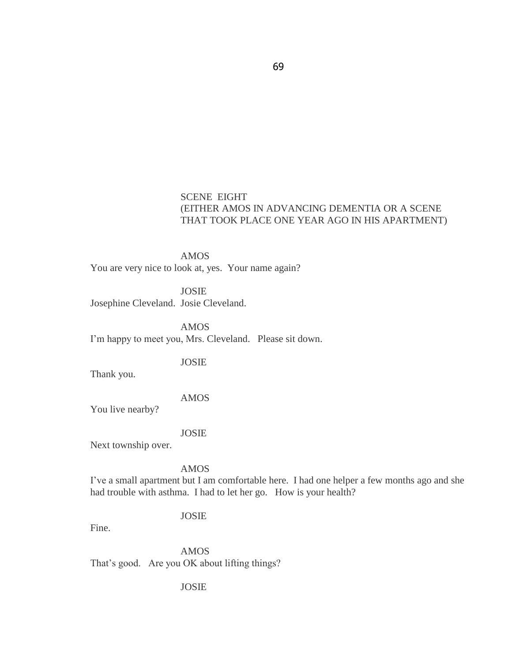## SCENE EIGHT (EITHER AMOS IN ADVANCING DEMENTIA OR A SCENE THAT TOOK PLACE ONE YEAR AGO IN HIS APARTMENT)

AMOS You are very nice to look at, yes. Your name again?

JOSIE Josephine Cleveland. Josie Cleveland.

AMOS I'm happy to meet you, Mrs. Cleveland. Please sit down.

Thank you.

AMOS

JOSIE

You live nearby?

JOSIE

Next township over.

AMOS

I"ve a small apartment but I am comfortable here. I had one helper a few months ago and she had trouble with asthma. I had to let her go. How is your health?

## JOSIE

Fine.

AMOS That's good. Are you OK about lifting things?

## JOSIE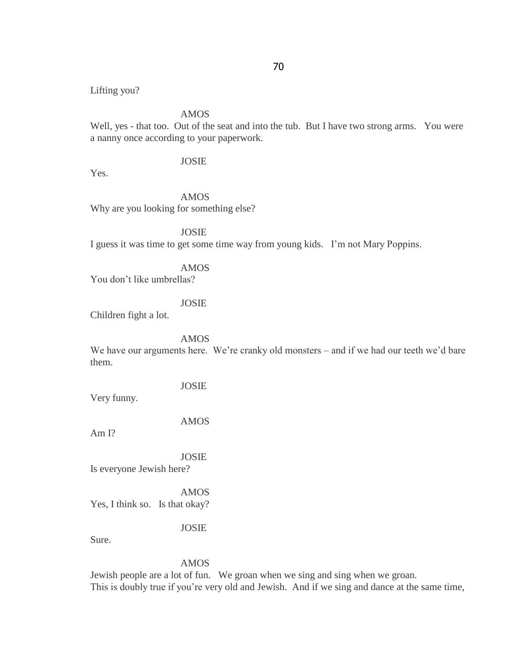Lifting you?

AMOS

Well, yes - that too. Out of the seat and into the tub. But I have two strong arms. You were a nanny once according to your paperwork.

## JOSIE

Yes.

AMOS

Why are you looking for something else?

JOSIE I guess it was time to get some time way from young kids. I"m not Mary Poppins.

AMOS

You don"t like umbrellas?

## JOSIE

Children fight a lot.

AMOS

We have our arguments here. We're cranky old monsters – and if we had our teeth we'd bare them.

Very funny.

AMOS

JOSIE

Am I?

JOSIE Is everyone Jewish here?

AMOS Yes, I think so. Is that okay?

JOSIE

Sure.

AMOS

Jewish people are a lot of fun. We groan when we sing and sing when we groan. This is doubly true if you"re very old and Jewish. And if we sing and dance at the same time,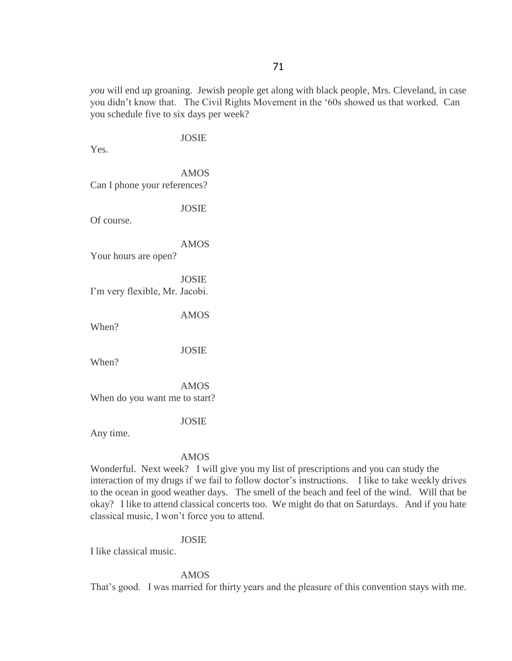*you* will end up groaning. Jewish people get along with black people, Mrs. Cleveland, in case you didn"t know that. The Civil Rights Movement in the "60s showed us that worked. Can you schedule five to six days per week?

JOSIE Yes. AMOS Can I phone your references? JOSIE Of course. AMOS Your hours are open? JOSIE I"m very flexible, Mr. Jacobi. AMOS When? JOSIE When? AMOS When do you want me to start? JOSIE Any time.

#### AMOS

Wonderful. Next week? I will give you my list of prescriptions and you can study the interaction of my drugs if we fail to follow doctor's instructions. I like to take weekly drives to the ocean in good weather days. The smell of the beach and feel of the wind. Will that be okay? I like to attend classical concerts too. We might do that on Saturdays. And if you hate classical music, I won"t force you to attend.

## JOSIE

I like classical music.

## AMOS

That's good. I was married for thirty years and the pleasure of this convention stays with me.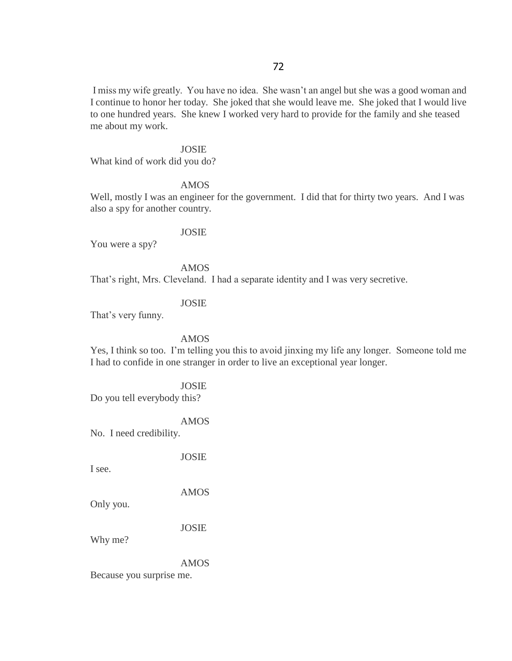I miss my wife greatly. You have no idea. She wasn"t an angel but she was a good woman and I continue to honor her today. She joked that she would leave me. She joked that I would live to one hundred years. She knew I worked very hard to provide for the family and she teased me about my work.

#### JOSIE

What kind of work did you do?

#### AMOS

Well, mostly I was an engineer for the government. I did that for thirty two years. And I was also a spy for another country.

#### JOSIE

You were a spy?

AMOS That's right, Mrs. Cleveland. I had a separate identity and I was very secretive.

## JOSIE

That's very funny.

## AMOS

Yes, I think so too. I"m telling you this to avoid jinxing my life any longer. Someone told me I had to confide in one stranger in order to live an exceptional year longer.

JOSIE Do you tell everybody this?

AMOS

No. I need credibility.

JOSIE

I see.

AMOS

Only you.

JOSIE

Why me?

AMOS

Because you surprise me.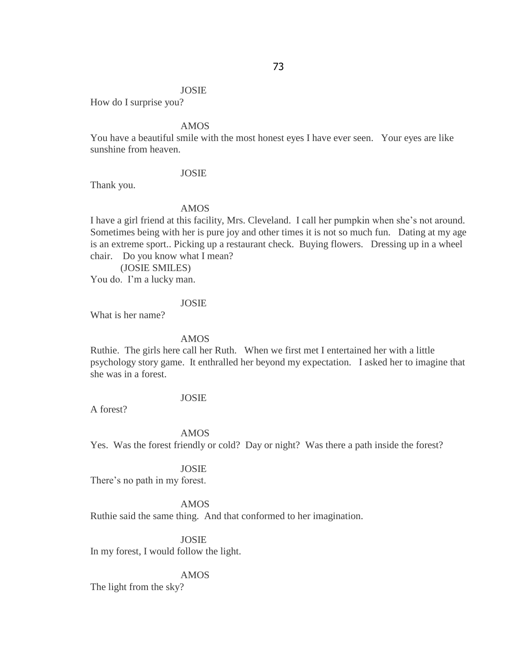## JOSIE

How do I surprise you?

## AMOS

You have a beautiful smile with the most honest eyes I have ever seen. Your eyes are like sunshine from heaven.

#### JOSIE

Thank you.

#### AMOS

I have a girl friend at this facility, Mrs. Cleveland. I call her pumpkin when she"s not around. Sometimes being with her is pure joy and other times it is not so much fun. Dating at my age is an extreme sport.. Picking up a restaurant check. Buying flowers. Dressing up in a wheel chair. Do you know what I mean?

(JOSIE SMILES)

You do. I'm a lucky man.

# JOSIE

What is her name?

## AMOS

Ruthie. The girls here call her Ruth. When we first met I entertained her with a little psychology story game. It enthralled her beyond my expectation. I asked her to imagine that she was in a forest.

# JOSIE

A forest?

## AMOS

Yes. Was the forest friendly or cold? Day or night? Was there a path inside the forest?

#### JOSIE

There's no path in my forest.

# AMOS

Ruthie said the same thing. And that conformed to her imagination.

JOSIE In my forest, I would follow the light.

## AMOS

The light from the sky?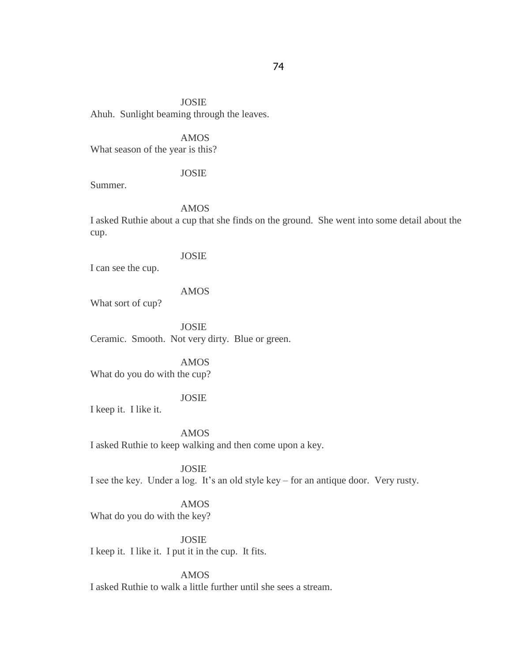JOSIE Ahuh. Sunlight beaming through the leaves.

AMOS What season of the year is this?

#### JOSIE

Summer.

AMOS

I asked Ruthie about a cup that she finds on the ground. She went into some detail about the cup.

#### JOSIE

I can see the cup.

# AMOS

What sort of cup?

JOSIE Ceramic. Smooth. Not very dirty. Blue or green.

AMOS What do you do with the cup?

# JOSIE

I keep it. I like it.

AMOS I asked Ruthie to keep walking and then come upon a key.

JOSIE I see the key. Under a log. It's an old style key – for an antique door. Very rusty.

# AMOS

What do you do with the key?

JOSIE I keep it. I like it. I put it in the cup. It fits.

AMOS I asked Ruthie to walk a little further until she sees a stream.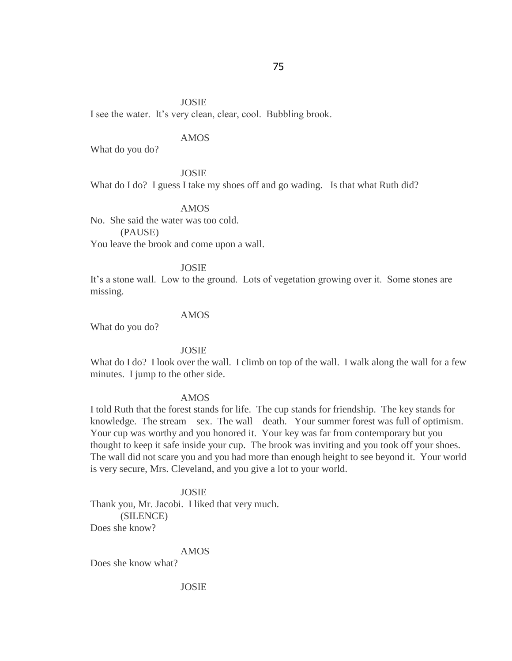#### JOSIE

I see the water. It's very clean, clear, cool. Bubbling brook.

# AMOS

What do you do?

## JOSIE

What do I do? I guess I take my shoes off and go wading. Is that what Ruth did?

#### AMOS

No. She said the water was too cold. (PAUSE)

You leave the brook and come upon a wall.

## JOSIE

It's a stone wall. Low to the ground. Lots of vegetation growing over it. Some stones are missing.

#### AMOS

What do you do?

#### JOSIE

What do I do? I look over the wall. I climb on top of the wall. I walk along the wall for a few minutes. I jump to the other side.

## AMOS

I told Ruth that the forest stands for life. The cup stands for friendship. The key stands for knowledge. The stream – sex. The wall – death. Your summer forest was full of optimism. Your cup was worthy and you honored it. Your key was far from contemporary but you thought to keep it safe inside your cup. The brook was inviting and you took off your shoes. The wall did not scare you and you had more than enough height to see beyond it. Your world is very secure, Mrs. Cleveland, and you give a lot to your world.

## JOSIE

Thank you, Mr. Jacobi. I liked that very much. (SILENCE) Does she know?

AMOS

Does she know what?

JOSIE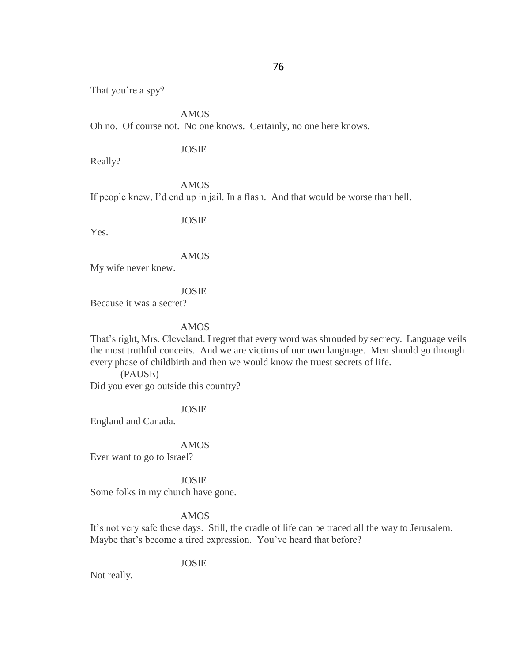That you're a spy?

AMOS

Oh no. Of course not. No one knows. Certainly, no one here knows.

# JOSIE

Really?

AMOS If people knew, I"d end up in jail. In a flash. And that would be worse than hell.

JOSIE

Yes.

AMOS

My wife never knew.

JOSIE

Because it was a secret?

AMOS

That's right, Mrs. Cleveland. I regret that every word was shrouded by secrecy. Language veils the most truthful conceits. And we are victims of our own language. Men should go through every phase of childbirth and then we would know the truest secrets of life.

(PAUSE) Did you ever go outside this country?

JOSIE

England and Canada.

# AMOS

Ever want to go to Israel?

JOSIE

Some folks in my church have gone.

# AMOS

It"s not very safe these days. Still, the cradle of life can be traced all the way to Jerusalem. Maybe that's become a tired expression. You've heard that before?

JOSIE

Not really.